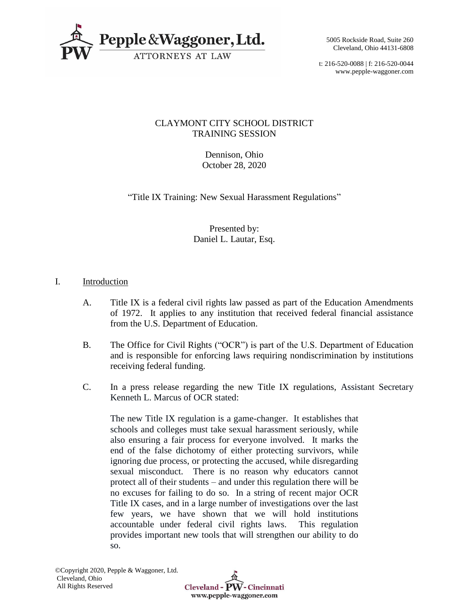

t: 216-520-0088 | f: 216-520-0044 www.pepple-waggoner.com

# CLAYMONT CITY SCHOOL DISTRICT TRAINING SESSION

Dennison, Ohio October 28, 2020

"Title IX Training: New Sexual Harassment Regulations"

Presented by: Daniel L. Lautar, Esq.

# I. Introduction

- A. Title IX is a federal civil rights law passed as part of the Education Amendments of 1972. It applies to any institution that received federal financial assistance from the U.S. Department of Education.
- B. The Office for Civil Rights ("OCR") is part of the U.S. Department of Education and is responsible for enforcing laws requiring nondiscrimination by institutions receiving federal funding.
- C. In a press release regarding the new Title IX regulations, Assistant Secretary Kenneth L. Marcus of OCR stated:

The new Title IX regulation is a game-changer. It establishes that schools and colleges must take sexual harassment seriously, while also ensuring a fair process for everyone involved. It marks the end of the false dichotomy of either protecting survivors, while ignoring due process, or protecting the accused, while disregarding sexual misconduct. There is no reason why educators cannot protect all of their students – and under this regulation there will be no excuses for failing to do so. In a string of recent major OCR Title IX cases, and in a large number of investigations over the last few years, we have shown that we will hold institutions accountable under federal civil rights laws. This regulation provides important new tools that will strengthen our ability to do so.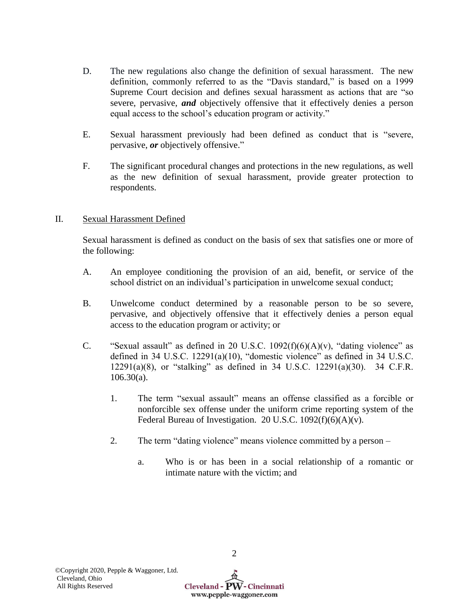- D. The new regulations also change the definition of sexual harassment. The new definition, commonly referred to as the "Davis standard," is based on a 1999 Supreme Court decision and defines sexual harassment as actions that are "so severe, pervasive, *and* objectively offensive that it effectively denies a person equal access to the school's education program or activity."
- E. Sexual harassment previously had been defined as conduct that is "severe, pervasive, *or* objectively offensive."
- F. The significant procedural changes and protections in the new regulations, as well as the new definition of sexual harassment, provide greater protection to respondents.

# II. Sexual Harassment Defined

Sexual harassment is defined as conduct on the basis of sex that satisfies one or more of the following:

- A. An employee conditioning the provision of an aid, benefit, or service of the school district on an individual's participation in unwelcome sexual conduct;
- B. Unwelcome conduct determined by a reasonable person to be so severe, pervasive, and objectively offensive that it effectively denies a person equal access to the education program or activity; or
- C. "Sexual assault" as defined in 20 U.S.C.  $1092(f)(6)(A)(v)$ , "dating violence" as defined in 34 U.S.C. 12291(a)(10), "domestic violence" as defined in 34 U.S.C. 12291(a)(8), or "stalking" as defined in 34 U.S.C. 12291(a)(30). 34 C.F.R.  $106.30(a)$ .
	- 1. The term "sexual assault" means an offense classified as a forcible or nonforcible sex offense under the uniform crime reporting system of the Federal Bureau of Investigation. 20 U.S.C.  $1092(f)(6)(A)(v)$ .
	- 2. The term "dating violence" means violence committed by a person
		- a. Who is or has been in a social relationship of a romantic or intimate nature with the victim; and

www.pepple-waggoner.com

2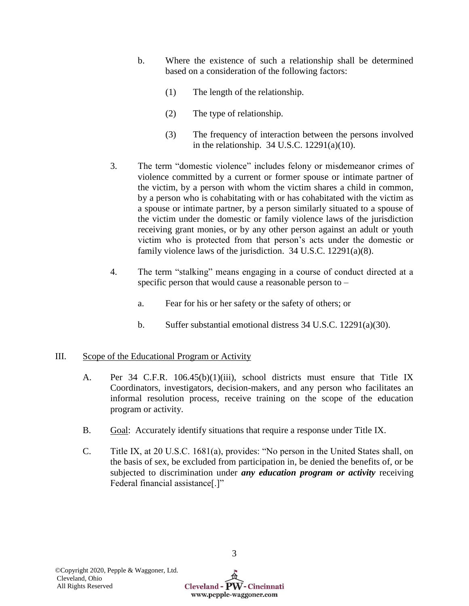- b. Where the existence of such a relationship shall be determined based on a consideration of the following factors:
	- (1) The length of the relationship.
	- (2) The type of relationship.
	- (3) The frequency of interaction between the persons involved in the relationship. 34 U.S.C. 12291(a)(10).
- 3. The term "domestic violence" includes felony or misdemeanor crimes of violence committed by a current or former spouse or intimate partner of the victim, by a person with whom the victim shares a child in common, by a person who is cohabitating with or has cohabitated with the victim as a spouse or intimate partner, by a person similarly situated to a spouse of the victim under the domestic or family violence laws of the jurisdiction receiving grant monies, or by any other person against an adult or youth victim who is protected from that person's acts under the domestic or family violence laws of the jurisdiction. 34 U.S.C. 12291(a)(8).
- 4. The term "stalking" means engaging in a course of conduct directed at a specific person that would cause a reasonable person to –
	- a. Fear for his or her safety or the safety of others; or
	- b. Suffer substantial emotional distress 34 U.S.C. 12291(a)(30).

# III. Scope of the Educational Program or Activity

- A. Per 34 C.F.R. 106.45(b)(1)(iii), school districts must ensure that Title IX Coordinators, investigators, decision-makers, and any person who facilitates an informal resolution process, receive training on the scope of the education program or activity.
- B. Goal: Accurately identify situations that require a response under Title IX.
- C. Title IX, at 20 U.S.C. 1681(a), provides: "No person in the United States shall, on the basis of sex, be excluded from participation in, be denied the benefits of, or be subjected to discrimination under *any education program or activity* receiving Federal financial assistance[.]"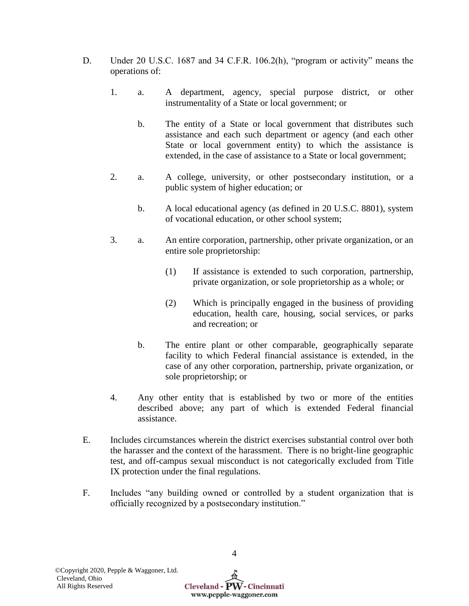- D. Under 20 U.S.C. 1687 and 34 C.F.R. 106.2(h), "program or activity" means the operations of:
	- 1. a. A department, agency, special purpose district, or other instrumentality of a State or local government; or
		- b. The entity of a State or local government that distributes such assistance and each such department or agency (and each other State or local government entity) to which the assistance is extended, in the case of assistance to a State or local government;
	- 2. a. A college, university, or other postsecondary institution, or a public system of higher education; or
		- b. A local educational agency (as defined in 20 U.S.C. 8801), system of vocational education, or other school system;
	- 3. a. An entire corporation, partnership, other private organization, or an entire sole proprietorship:
		- (1) If assistance is extended to such corporation, partnership, private organization, or sole proprietorship as a whole; or
		- (2) Which is principally engaged in the business of providing education, health care, housing, social services, or parks and recreation; or
		- b. The entire plant or other comparable, geographically separate facility to which Federal financial assistance is extended, in the case of any other corporation, partnership, private organization, or sole proprietorship; or
	- 4. Any other entity that is established by two or more of the entities described above; any part of which is extended Federal financial assistance.
- E. Includes circumstances wherein the district exercises substantial control over both the harasser and the context of the harassment. There is no bright-line geographic test, and off-campus sexual misconduct is not categorically excluded from Title IX protection under the final regulations.
- F. Includes "any building owned or controlled by a student organization that is officially recognized by a postsecondary institution."

www.pepple-waggoner.com

4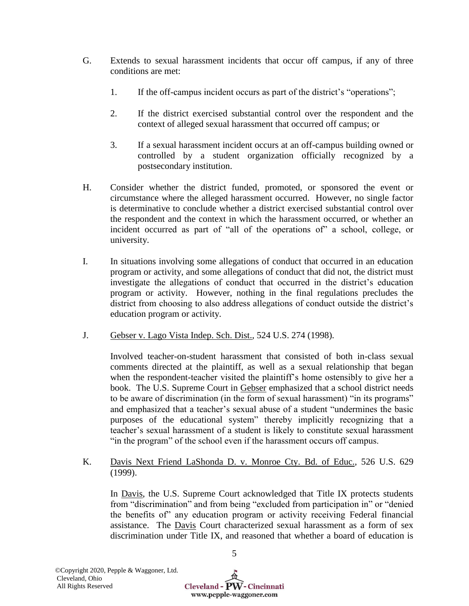- G. Extends to sexual harassment incidents that occur off campus, if any of three conditions are met:
	- 1. If the off-campus incident occurs as part of the district's "operations";
	- 2. If the district exercised substantial control over the respondent and the context of alleged sexual harassment that occurred off campus; or
	- 3. If a sexual harassment incident occurs at an off-campus building owned or controlled by a student organization officially recognized by a postsecondary institution.
- H. Consider whether the district funded, promoted, or sponsored the event or circumstance where the alleged harassment occurred. However, no single factor is determinative to conclude whether a district exercised substantial control over the respondent and the context in which the harassment occurred, or whether an incident occurred as part of "all of the operations of" a school, college, or university.
- I. In situations involving some allegations of conduct that occurred in an education program or activity, and some allegations of conduct that did not, the district must investigate the allegations of conduct that occurred in the district's education program or activity. However, nothing in the final regulations precludes the district from choosing to also address allegations of conduct outside the district's education program or activity.
- J. Gebser v. Lago Vista Indep. Sch. Dist., 524 U.S. 274 (1998).

Involved teacher-on-student harassment that consisted of both in-class sexual comments directed at the plaintiff, as well as a sexual relationship that began when the respondent-teacher visited the plaintiff's home ostensibly to give her a book. The U.S. Supreme Court in Gebser emphasized that a school district needs to be aware of discrimination (in the form of sexual harassment) "in its programs" and emphasized that a teacher's sexual abuse of a student "undermines the basic purposes of the educational system" thereby implicitly recognizing that a teacher's sexual harassment of a student is likely to constitute sexual harassment "in the program" of the school even if the harassment occurs off campus.

K. Davis Next Friend LaShonda D. v. Monroe Cty. Bd. of Educ., 526 U.S. 629 (1999).

In Davis, the U.S. Supreme Court acknowledged that Title IX protects students from "discrimination" and from being "excluded from participation in" or "denied the benefits of" any education program or activity receiving Federal financial assistance. The Davis Court characterized sexual harassment as a form of sex discrimination under Title IX, and reasoned that whether a board of education is

5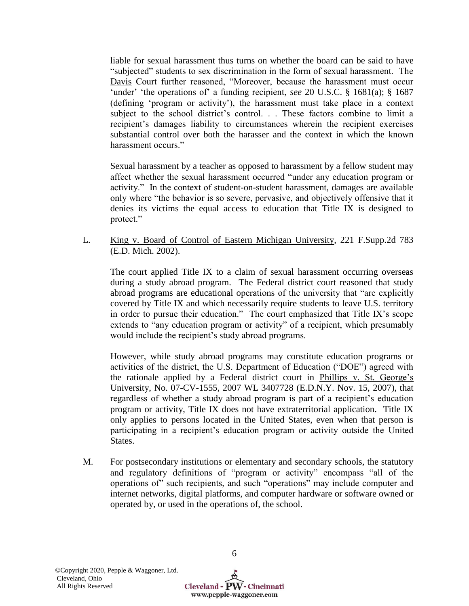liable for sexual harassment thus turns on whether the board can be said to have "subjected" students to sex discrimination in the form of sexual harassment. The Davis Court further reasoned, "Moreover, because the harassment must occur 'under' 'the operations of' a funding recipient, *see* 20 U.S.C. § 1681(a); § 1687 (defining 'program or activity'), the harassment must take place in a context subject to the school district's control. . . These factors combine to limit a recipient's damages liability to circumstances wherein the recipient exercises substantial control over both the harasser and the context in which the known harassment occurs."

Sexual harassment by a teacher as opposed to harassment by a fellow student may affect whether the sexual harassment occurred "under any education program or activity." In the context of student-on-student harassment, damages are available only where "the behavior is so severe, pervasive, and objectively offensive that it denies its victims the equal access to education that Title IX is designed to protect."

L. King v. Board of Control of Eastern Michigan University, 221 F.Supp.2d 783 (E.D. Mich. 2002).

The court applied Title IX to a claim of sexual harassment occurring overseas during a study abroad program. The Federal district court reasoned that study abroad programs are educational operations of the university that "are explicitly covered by Title IX and which necessarily require students to leave U.S. territory in order to pursue their education." The court emphasized that Title IX's scope extends to "any education program or activity" of a recipient, which presumably would include the recipient's study abroad programs.

However, while study abroad programs may constitute education programs or activities of the district, the U.S. Department of Education ("DOE") agreed with the rationale applied by a Federal district court in Phillips v. St. George's University, No. 07-CV-1555, 2007 WL 3407728 (E.D.N.Y. Nov. 15, 2007), that regardless of whether a study abroad program is part of a recipient's education program or activity, Title IX does not have extraterritorial application. Title IX only applies to persons located in the United States, even when that person is participating in a recipient's education program or activity outside the United States.

M. For postsecondary institutions or elementary and secondary schools, the statutory and regulatory definitions of "program or activity" encompass "all of the operations of" such recipients, and such "operations" may include computer and internet networks, digital platforms, and computer hardware or software owned or operated by, or used in the operations of, the school.

Cleveland - PW - Cincinnati www.pepple-waggoner.com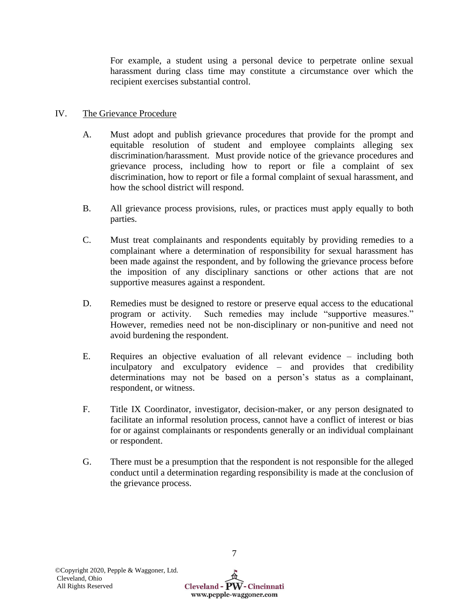For example, a student using a personal device to perpetrate online sexual harassment during class time may constitute a circumstance over which the recipient exercises substantial control.

# IV. The Grievance Procedure

- A. Must adopt and publish grievance procedures that provide for the prompt and equitable resolution of student and employee complaints alleging sex discrimination/harassment. Must provide notice of the grievance procedures and grievance process, including how to report or file a complaint of sex discrimination, how to report or file a formal complaint of sexual harassment, and how the school district will respond.
- B. All grievance process provisions, rules, or practices must apply equally to both parties.
- C. Must treat complainants and respondents equitably by providing remedies to a complainant where a determination of responsibility for sexual harassment has been made against the respondent, and by following the grievance process before the imposition of any disciplinary sanctions or other actions that are not supportive measures against a respondent.
- D. Remedies must be designed to restore or preserve equal access to the educational program or activity. Such remedies may include "supportive measures." However, remedies need not be non-disciplinary or non-punitive and need not avoid burdening the respondent.
- E. Requires an objective evaluation of all relevant evidence including both inculpatory and exculpatory evidence – and provides that credibility determinations may not be based on a person's status as a complainant, respondent, or witness.
- F. Title IX Coordinator, investigator, decision-maker, or any person designated to facilitate an informal resolution process, cannot have a conflict of interest or bias for or against complainants or respondents generally or an individual complainant or respondent.
- G. There must be a presumption that the respondent is not responsible for the alleged conduct until a determination regarding responsibility is made at the conclusion of the grievance process.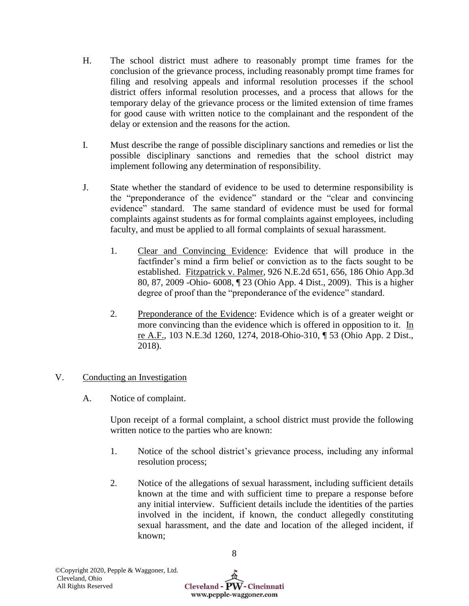- H. The school district must adhere to reasonably prompt time frames for the conclusion of the grievance process, including reasonably prompt time frames for filing and resolving appeals and informal resolution processes if the school district offers informal resolution processes, and a process that allows for the temporary delay of the grievance process or the limited extension of time frames for good cause with written notice to the complainant and the respondent of the delay or extension and the reasons for the action.
- I. Must describe the range of possible disciplinary sanctions and remedies or list the possible disciplinary sanctions and remedies that the school district may implement following any determination of responsibility.
- J. State whether the standard of evidence to be used to determine responsibility is the "preponderance of the evidence" standard or the "clear and convincing evidence" standard. The same standard of evidence must be used for formal complaints against students as for formal complaints against employees, including faculty, and must be applied to all formal complaints of sexual harassment.
	- 1. Clear and Convincing Evidence: Evidence that will produce in the factfinder's mind a firm belief or conviction as to the facts sought to be established. Fitzpatrick v. Palmer, 926 N.E.2d 651, 656, 186 Ohio App.3d 80, 87, 2009 -Ohio- 6008, ¶ 23 (Ohio App. 4 Dist., 2009). This is a higher degree of proof than the "preponderance of the evidence" standard.
	- 2. Preponderance of the Evidence: Evidence which is of a greater weight or more convincing than the evidence which is offered in opposition to it. In re A.F., 103 N.E.3d 1260, 1274, 2018-Ohio-310, ¶ 53 (Ohio App. 2 Dist., 2018).

# V. Conducting an Investigation

A. Notice of complaint.

Upon receipt of a formal complaint, a school district must provide the following written notice to the parties who are known:

- 1. Notice of the school district's grievance process, including any informal resolution process;
- 2. Notice of the allegations of sexual harassment, including sufficient details known at the time and with sufficient time to prepare a response before any initial interview. Sufficient details include the identities of the parties involved in the incident, if known, the conduct allegedly constituting sexual harassment, and the date and location of the alleged incident, if known;

8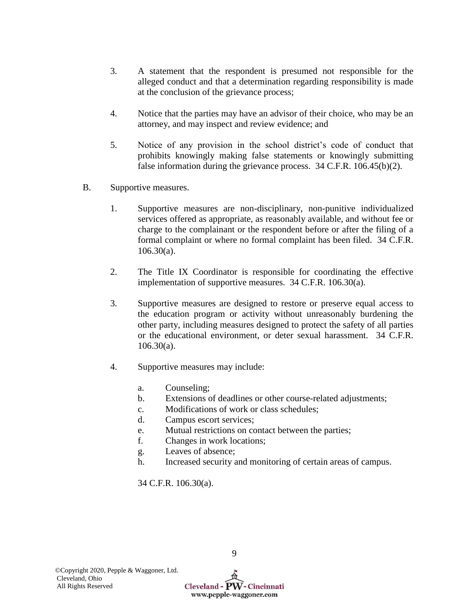- 3. A statement that the respondent is presumed not responsible for the alleged conduct and that a determination regarding responsibility is made at the conclusion of the grievance process;
- 4. Notice that the parties may have an advisor of their choice, who may be an attorney, and may inspect and review evidence; and
- 5. Notice of any provision in the school district's code of conduct that prohibits knowingly making false statements or knowingly submitting false information during the grievance process. 34 C.F.R. 106.45(b)(2).
- B. Supportive measures.
	- 1. Supportive measures are non-disciplinary, non-punitive individualized services offered as appropriate, as reasonably available, and without fee or charge to the complainant or the respondent before or after the filing of a formal complaint or where no formal complaint has been filed. 34 C.F.R. 106.30(a).
	- 2. The Title IX Coordinator is responsible for coordinating the effective implementation of supportive measures. 34 C.F.R. 106.30(a).
	- 3. Supportive measures are designed to restore or preserve equal access to the education program or activity without unreasonably burdening the other party, including measures designed to protect the safety of all parties or the educational environment, or deter sexual harassment. 34 C.F.R. 106.30(a).
	- 4. Supportive measures may include:
		- a. Counseling;
		- b. Extensions of deadlines or other course-related adjustments;
		- c. Modifications of work or class schedules;
		- d. Campus escort services;
		- e. Mutual restrictions on contact between the parties;
		- f. Changes in work locations;
		- g. Leaves of absence;
		- h. Increased security and monitoring of certain areas of campus.

34 C.F.R. 106.30(a).

9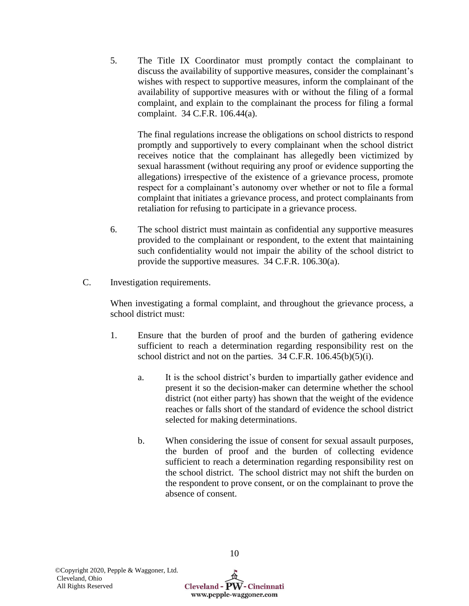5. The Title IX Coordinator must promptly contact the complainant to discuss the availability of supportive measures, consider the complainant's wishes with respect to supportive measures, inform the complainant of the availability of supportive measures with or without the filing of a formal complaint, and explain to the complainant the process for filing a formal complaint. 34 C.F.R. 106.44(a).

The final regulations increase the obligations on school districts to respond promptly and supportively to every complainant when the school district receives notice that the complainant has allegedly been victimized by sexual harassment (without requiring any proof or evidence supporting the allegations) irrespective of the existence of a grievance process, promote respect for a complainant's autonomy over whether or not to file a formal complaint that initiates a grievance process, and protect complainants from retaliation for refusing to participate in a grievance process.

- 6. The school district must maintain as confidential any supportive measures provided to the complainant or respondent, to the extent that maintaining such confidentiality would not impair the ability of the school district to provide the supportive measures. 34 C.F.R. 106.30(a).
- C. Investigation requirements.

When investigating a formal complaint, and throughout the grievance process, a school district must:

- 1. Ensure that the burden of proof and the burden of gathering evidence sufficient to reach a determination regarding responsibility rest on the school district and not on the parties. 34 C.F.R. 106.45(b)(5)(i).
	- a. It is the school district's burden to impartially gather evidence and present it so the decision-maker can determine whether the school district (not either party) has shown that the weight of the evidence reaches or falls short of the standard of evidence the school district selected for making determinations.
	- b. When considering the issue of consent for sexual assault purposes, the burden of proof and the burden of collecting evidence sufficient to reach a determination regarding responsibility rest on the school district. The school district may not shift the burden on the respondent to prove consent, or on the complainant to prove the absence of consent.

Cleveland - PW - Cincinnati www.pepple-waggoner.com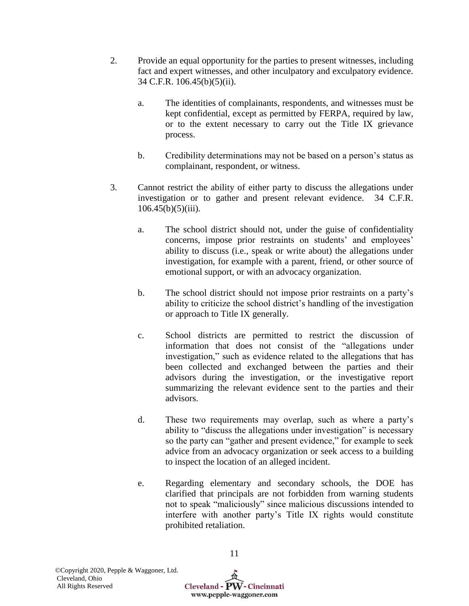- 2. Provide an equal opportunity for the parties to present witnesses, including fact and expert witnesses, and other inculpatory and exculpatory evidence. 34 C.F.R. 106.45(b)(5)(ii).
	- a. The identities of complainants, respondents, and witnesses must be kept confidential, except as permitted by FERPA, required by law, or to the extent necessary to carry out the Title IX grievance process.
	- b. Credibility determinations may not be based on a person's status as complainant, respondent, or witness.
- 3. Cannot restrict the ability of either party to discuss the allegations under investigation or to gather and present relevant evidence. 34 C.F.R.  $106.45(b)(5)(iii)$ .
	- a. The school district should not, under the guise of confidentiality concerns, impose prior restraints on students' and employees' ability to discuss (i.e., speak or write about) the allegations under investigation, for example with a parent, friend, or other source of emotional support, or with an advocacy organization.
	- b. The school district should not impose prior restraints on a party's ability to criticize the school district's handling of the investigation or approach to Title IX generally.
	- c. School districts are permitted to restrict the discussion of information that does not consist of the "allegations under investigation," such as evidence related to the allegations that has been collected and exchanged between the parties and their advisors during the investigation, or the investigative report summarizing the relevant evidence sent to the parties and their advisors.
	- d. These two requirements may overlap, such as where a party's ability to "discuss the allegations under investigation" is necessary so the party can "gather and present evidence," for example to seek advice from an advocacy organization or seek access to a building to inspect the location of an alleged incident.
	- e. Regarding elementary and secondary schools, the DOE has clarified that principals are not forbidden from warning students not to speak "maliciously" since malicious discussions intended to interfere with another party's Title IX rights would constitute prohibited retaliation.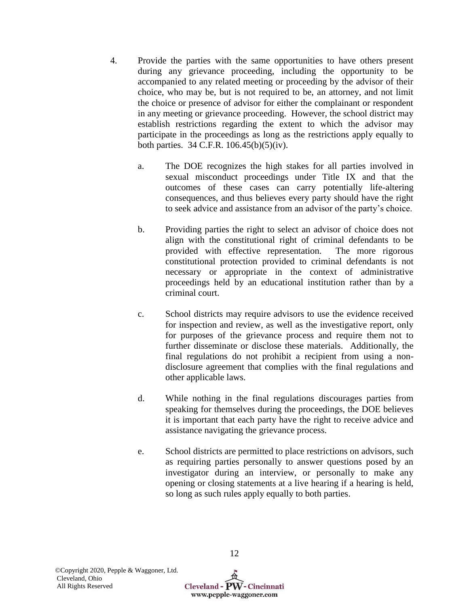- 4. Provide the parties with the same opportunities to have others present during any grievance proceeding, including the opportunity to be accompanied to any related meeting or proceeding by the advisor of their choice, who may be, but is not required to be, an attorney, and not limit the choice or presence of advisor for either the complainant or respondent in any meeting or grievance proceeding. However, the school district may establish restrictions regarding the extent to which the advisor may participate in the proceedings as long as the restrictions apply equally to both parties. 34 C.F.R. 106.45(b)(5)(iv).
	- a. The DOE recognizes the high stakes for all parties involved in sexual misconduct proceedings under Title IX and that the outcomes of these cases can carry potentially life-altering consequences, and thus believes every party should have the right to seek advice and assistance from an advisor of the party's choice.
	- b. Providing parties the right to select an advisor of choice does not align with the constitutional right of criminal defendants to be provided with effective representation. The more rigorous constitutional protection provided to criminal defendants is not necessary or appropriate in the context of administrative proceedings held by an educational institution rather than by a criminal court.
	- c. School districts may require advisors to use the evidence received for inspection and review, as well as the investigative report, only for purposes of the grievance process and require them not to further disseminate or disclose these materials. Additionally, the final regulations do not prohibit a recipient from using a nondisclosure agreement that complies with the final regulations and other applicable laws.
	- d. While nothing in the final regulations discourages parties from speaking for themselves during the proceedings, the DOE believes it is important that each party have the right to receive advice and assistance navigating the grievance process.
	- e. School districts are permitted to place restrictions on advisors, such as requiring parties personally to answer questions posed by an investigator during an interview, or personally to make any opening or closing statements at a live hearing if a hearing is held, so long as such rules apply equally to both parties.

Cleveland -  $\widehat{PW}$  - Cincinnati www.pepple-waggoner.com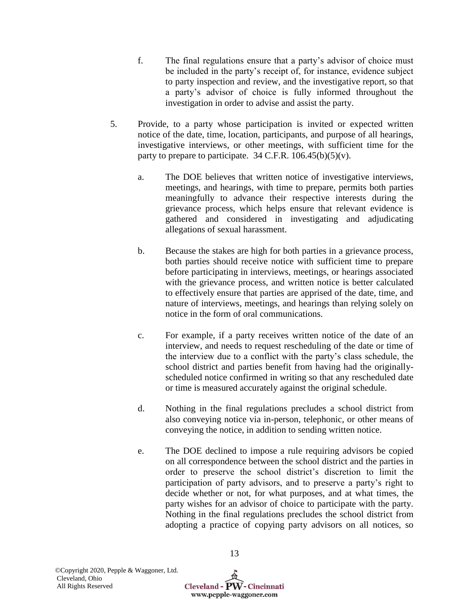- f. The final regulations ensure that a party's advisor of choice must be included in the party's receipt of, for instance, evidence subject to party inspection and review, and the investigative report, so that a party's advisor of choice is fully informed throughout the investigation in order to advise and assist the party.
- 5. Provide, to a party whose participation is invited or expected written notice of the date, time, location, participants, and purpose of all hearings, investigative interviews, or other meetings, with sufficient time for the party to prepare to participate.  $34$  C.F.R.  $106.45(b)(5)(v)$ .
	- a. The DOE believes that written notice of investigative interviews, meetings, and hearings, with time to prepare, permits both parties meaningfully to advance their respective interests during the grievance process, which helps ensure that relevant evidence is gathered and considered in investigating and adjudicating allegations of sexual harassment.
	- b. Because the stakes are high for both parties in a grievance process, both parties should receive notice with sufficient time to prepare before participating in interviews, meetings, or hearings associated with the grievance process, and written notice is better calculated to effectively ensure that parties are apprised of the date, time, and nature of interviews, meetings, and hearings than relying solely on notice in the form of oral communications.
	- c. For example, if a party receives written notice of the date of an interview, and needs to request rescheduling of the date or time of the interview due to a conflict with the party's class schedule, the school district and parties benefit from having had the originallyscheduled notice confirmed in writing so that any rescheduled date or time is measured accurately against the original schedule.
	- d. Nothing in the final regulations precludes a school district from also conveying notice via in-person, telephonic, or other means of conveying the notice, in addition to sending written notice.
	- e. The DOE declined to impose a rule requiring advisors be copied on all correspondence between the school district and the parties in order to preserve the school district's discretion to limit the participation of party advisors, and to preserve a party's right to decide whether or not, for what purposes, and at what times, the party wishes for an advisor of choice to participate with the party. Nothing in the final regulations precludes the school district from adopting a practice of copying party advisors on all notices, so

Cleveland -  $\widehat{PW}$  - Cincinnati www.pepple-waggoner.com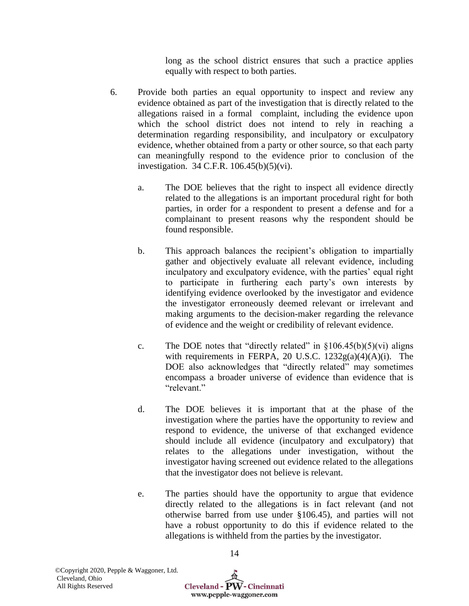long as the school district ensures that such a practice applies equally with respect to both parties.

- 6. Provide both parties an equal opportunity to inspect and review any evidence obtained as part of the investigation that is directly related to the allegations raised in a formal complaint, including the evidence upon which the school district does not intend to rely in reaching a determination regarding responsibility, and inculpatory or exculpatory evidence, whether obtained from a party or other source, so that each party can meaningfully respond to the evidence prior to conclusion of the investigation. 34 C.F.R. 106.45(b)(5)(vi).
	- a. The DOE believes that the right to inspect all evidence directly related to the allegations is an important procedural right for both parties, in order for a respondent to present a defense and for a complainant to present reasons why the respondent should be found responsible.
	- b. This approach balances the recipient's obligation to impartially gather and objectively evaluate all relevant evidence, including inculpatory and exculpatory evidence, with the parties' equal right to participate in furthering each party's own interests by identifying evidence overlooked by the investigator and evidence the investigator erroneously deemed relevant or irrelevant and making arguments to the decision-maker regarding the relevance of evidence and the weight or credibility of relevant evidence.
	- c. The DOE notes that "directly related" in  $\S 106.45(b)(5)(vi)$  aligns with requirements in FERPA, 20 U.S.C. 1232g(a)(4)(A)(i). The DOE also acknowledges that "directly related" may sometimes encompass a broader universe of evidence than evidence that is "relevant."
	- d. The DOE believes it is important that at the phase of the investigation where the parties have the opportunity to review and respond to evidence, the universe of that exchanged evidence should include all evidence (inculpatory and exculpatory) that relates to the allegations under investigation, without the investigator having screened out evidence related to the allegations that the investigator does not believe is relevant.
	- e. The parties should have the opportunity to argue that evidence directly related to the allegations is in fact relevant (and not otherwise barred from use under §106.45), and parties will not have a robust opportunity to do this if evidence related to the allegations is withheld from the parties by the investigator.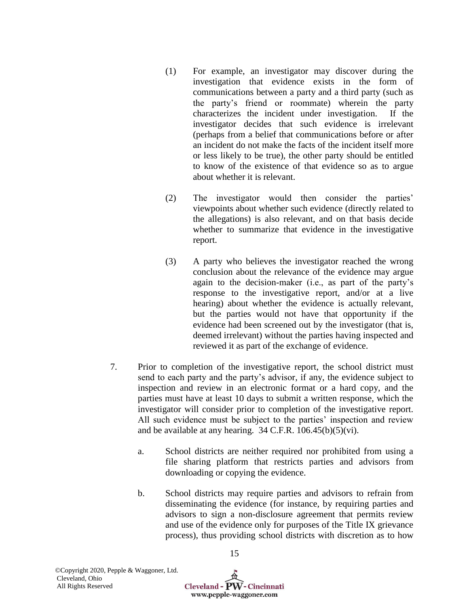- (1) For example, an investigator may discover during the investigation that evidence exists in the form of communications between a party and a third party (such as the party's friend or roommate) wherein the party characterizes the incident under investigation. If the investigator decides that such evidence is irrelevant (perhaps from a belief that communications before or after an incident do not make the facts of the incident itself more or less likely to be true), the other party should be entitled to know of the existence of that evidence so as to argue about whether it is relevant.
- (2) The investigator would then consider the parties' viewpoints about whether such evidence (directly related to the allegations) is also relevant, and on that basis decide whether to summarize that evidence in the investigative report.
- (3) A party who believes the investigator reached the wrong conclusion about the relevance of the evidence may argue again to the decision-maker (i.e., as part of the party's response to the investigative report, and/or at a live hearing) about whether the evidence is actually relevant, but the parties would not have that opportunity if the evidence had been screened out by the investigator (that is, deemed irrelevant) without the parties having inspected and reviewed it as part of the exchange of evidence.
- 7. Prior to completion of the investigative report, the school district must send to each party and the party's advisor, if any, the evidence subject to inspection and review in an electronic format or a hard copy, and the parties must have at least 10 days to submit a written response, which the investigator will consider prior to completion of the investigative report. All such evidence must be subject to the parties' inspection and review and be available at any hearing.  $34$  C.F.R.  $106.45(b)(5)(vi)$ .
	- a. School districts are neither required nor prohibited from using a file sharing platform that restricts parties and advisors from downloading or copying the evidence.
	- b. School districts may require parties and advisors to refrain from disseminating the evidence (for instance, by requiring parties and advisors to sign a non-disclosure agreement that permits review and use of the evidence only for purposes of the Title IX grievance process), thus providing school districts with discretion as to how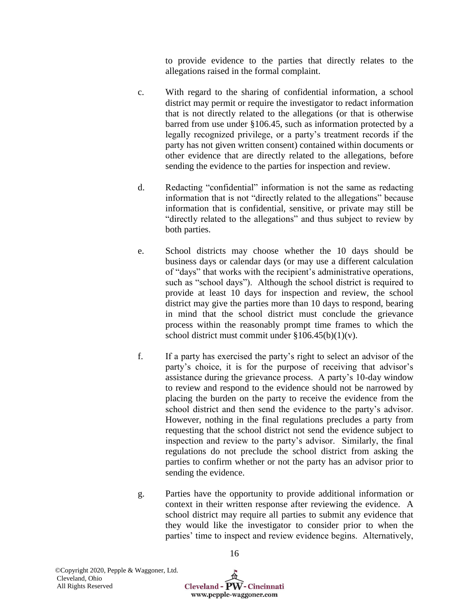to provide evidence to the parties that directly relates to the allegations raised in the formal complaint.

- c. With regard to the sharing of confidential information, a school district may permit or require the investigator to redact information that is not directly related to the allegations (or that is otherwise barred from use under §106.45, such as information protected by a legally recognized privilege, or a party's treatment records if the party has not given written consent) contained within documents or other evidence that are directly related to the allegations, before sending the evidence to the parties for inspection and review.
- d. Redacting "confidential" information is not the same as redacting information that is not "directly related to the allegations" because information that is confidential, sensitive, or private may still be "directly related to the allegations" and thus subject to review by both parties.
- e. School districts may choose whether the 10 days should be business days or calendar days (or may use a different calculation of "days" that works with the recipient's administrative operations, such as "school days"). Although the school district is required to provide at least 10 days for inspection and review, the school district may give the parties more than 10 days to respond, bearing in mind that the school district must conclude the grievance process within the reasonably prompt time frames to which the school district must commit under  $\S 106.45(b)(1)(v)$ .
- f. If a party has exercised the party's right to select an advisor of the party's choice, it is for the purpose of receiving that advisor's assistance during the grievance process. A party's 10-day window to review and respond to the evidence should not be narrowed by placing the burden on the party to receive the evidence from the school district and then send the evidence to the party's advisor. However, nothing in the final regulations precludes a party from requesting that the school district not send the evidence subject to inspection and review to the party's advisor. Similarly, the final regulations do not preclude the school district from asking the parties to confirm whether or not the party has an advisor prior to sending the evidence.
- g. Parties have the opportunity to provide additional information or context in their written response after reviewing the evidence. A school district may require all parties to submit any evidence that they would like the investigator to consider prior to when the parties' time to inspect and review evidence begins. Alternatively,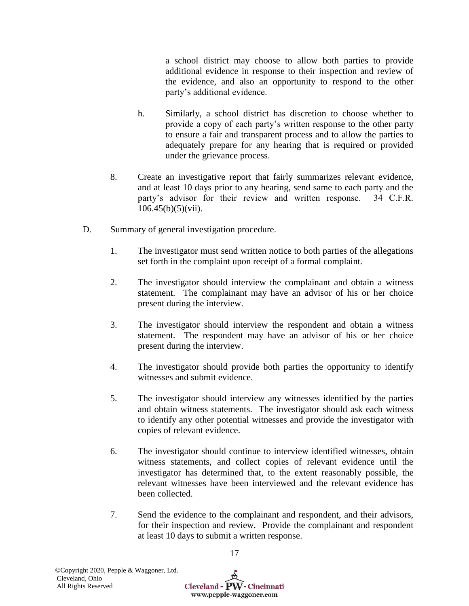a school district may choose to allow both parties to provide additional evidence in response to their inspection and review of the evidence, and also an opportunity to respond to the other party's additional evidence.

- h. Similarly, a school district has discretion to choose whether to provide a copy of each party's written response to the other party to ensure a fair and transparent process and to allow the parties to adequately prepare for any hearing that is required or provided under the grievance process.
- 8. Create an investigative report that fairly summarizes relevant evidence, and at least 10 days prior to any hearing, send same to each party and the party's advisor for their review and written response. 34 C.F.R.  $106.45(b)(5)(vii)$ .
- D. Summary of general investigation procedure.
	- 1. The investigator must send written notice to both parties of the allegations set forth in the complaint upon receipt of a formal complaint.
	- 2. The investigator should interview the complainant and obtain a witness statement. The complainant may have an advisor of his or her choice present during the interview.
	- 3. The investigator should interview the respondent and obtain a witness statement. The respondent may have an advisor of his or her choice present during the interview.
	- 4. The investigator should provide both parties the opportunity to identify witnesses and submit evidence.
	- 5. The investigator should interview any witnesses identified by the parties and obtain witness statements. The investigator should ask each witness to identify any other potential witnesses and provide the investigator with copies of relevant evidence.
	- 6. The investigator should continue to interview identified witnesses, obtain witness statements, and collect copies of relevant evidence until the investigator has determined that, to the extent reasonably possible, the relevant witnesses have been interviewed and the relevant evidence has been collected.
	- 7. Send the evidence to the complainant and respondent, and their advisors, for their inspection and review. Provide the complainant and respondent at least 10 days to submit a written response.

17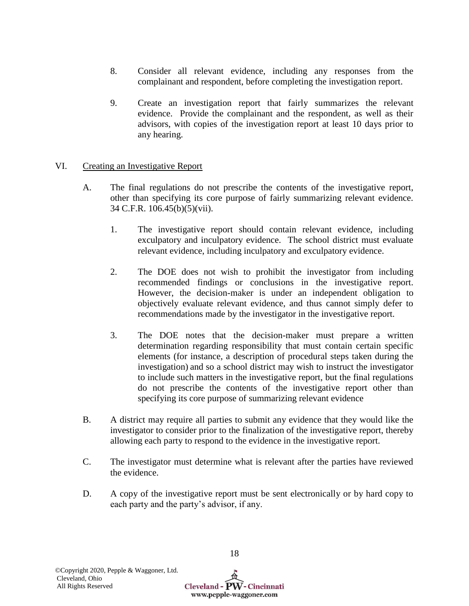- 8. Consider all relevant evidence, including any responses from the complainant and respondent, before completing the investigation report.
- 9. Create an investigation report that fairly summarizes the relevant evidence. Provide the complainant and the respondent, as well as their advisors, with copies of the investigation report at least 10 days prior to any hearing.

# VI. Creating an Investigative Report

- A. The final regulations do not prescribe the contents of the investigative report, other than specifying its core purpose of fairly summarizing relevant evidence. 34 C.F.R. 106.45(b)(5)(vii).
	- 1. The investigative report should contain relevant evidence, including exculpatory and inculpatory evidence. The school district must evaluate relevant evidence, including inculpatory and exculpatory evidence.
	- 2. The DOE does not wish to prohibit the investigator from including recommended findings or conclusions in the investigative report. However, the decision-maker is under an independent obligation to objectively evaluate relevant evidence, and thus cannot simply defer to recommendations made by the investigator in the investigative report.
	- 3. The DOE notes that the decision-maker must prepare a written determination regarding responsibility that must contain certain specific elements (for instance, a description of procedural steps taken during the investigation) and so a school district may wish to instruct the investigator to include such matters in the investigative report, but the final regulations do not prescribe the contents of the investigative report other than specifying its core purpose of summarizing relevant evidence
- B. A district may require all parties to submit any evidence that they would like the investigator to consider prior to the finalization of the investigative report, thereby allowing each party to respond to the evidence in the investigative report.
- C. The investigator must determine what is relevant after the parties have reviewed the evidence.
- D. A copy of the investigative report must be sent electronically or by hard copy to each party and the party's advisor, if any.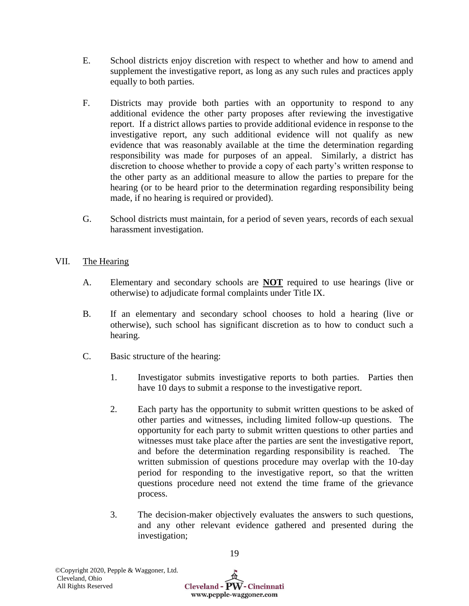- E. School districts enjoy discretion with respect to whether and how to amend and supplement the investigative report, as long as any such rules and practices apply equally to both parties.
- F. Districts may provide both parties with an opportunity to respond to any additional evidence the other party proposes after reviewing the investigative report. If a district allows parties to provide additional evidence in response to the investigative report, any such additional evidence will not qualify as new evidence that was reasonably available at the time the determination regarding responsibility was made for purposes of an appeal. Similarly, a district has discretion to choose whether to provide a copy of each party's written response to the other party as an additional measure to allow the parties to prepare for the hearing (or to be heard prior to the determination regarding responsibility being made, if no hearing is required or provided).
- G. School districts must maintain, for a period of seven years, records of each sexual harassment investigation.

# VII. The Hearing

- A. Elementary and secondary schools are **NOT** required to use hearings (live or otherwise) to adjudicate formal complaints under Title IX.
- B. If an elementary and secondary school chooses to hold a hearing (live or otherwise), such school has significant discretion as to how to conduct such a hearing.
- C. Basic structure of the hearing:
	- 1. Investigator submits investigative reports to both parties. Parties then have 10 days to submit a response to the investigative report.
	- 2. Each party has the opportunity to submit written questions to be asked of other parties and witnesses, including limited follow-up questions. The opportunity for each party to submit written questions to other parties and witnesses must take place after the parties are sent the investigative report, and before the determination regarding responsibility is reached. The written submission of questions procedure may overlap with the 10-day period for responding to the investigative report, so that the written questions procedure need not extend the time frame of the grievance process.
	- 3. The decision-maker objectively evaluates the answers to such questions, and any other relevant evidence gathered and presented during the investigation;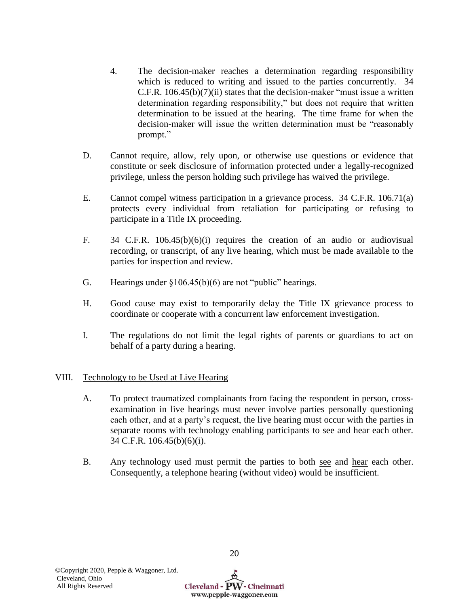- 4. The decision-maker reaches a determination regarding responsibility which is reduced to writing and issued to the parties concurrently. 34 C.F.R. 106.45(b)(7)(ii) states that the decision-maker "must issue a written determination regarding responsibility," but does not require that written determination to be issued at the hearing. The time frame for when the decision-maker will issue the written determination must be "reasonably prompt."
- D. Cannot require, allow, rely upon, or otherwise use questions or evidence that constitute or seek disclosure of information protected under a legally-recognized privilege, unless the person holding such privilege has waived the privilege.
- E. Cannot compel witness participation in a grievance process. 34 C.F.R. 106.71(a) protects every individual from retaliation for participating or refusing to participate in a Title IX proceeding.
- F. 34 C.F.R. 106.45(b)(6)(i) requires the creation of an audio or audiovisual recording, or transcript, of any live hearing, which must be made available to the parties for inspection and review.
- G. Hearings under  $\{106.45(b)(6)$  are not "public" hearings.
- H. Good cause may exist to temporarily delay the Title IX grievance process to coordinate or cooperate with a concurrent law enforcement investigation.
- I. The regulations do not limit the legal rights of parents or guardians to act on behalf of a party during a hearing.

# VIII. Technology to be Used at Live Hearing

- A. To protect traumatized complainants from facing the respondent in person, crossexamination in live hearings must never involve parties personally questioning each other, and at a party's request, the live hearing must occur with the parties in separate rooms with technology enabling participants to see and hear each other. 34 C.F.R. 106.45(b)(6)(i).
- B. Any technology used must permit the parties to both see and hear each other. Consequently, a telephone hearing (without video) would be insufficient.

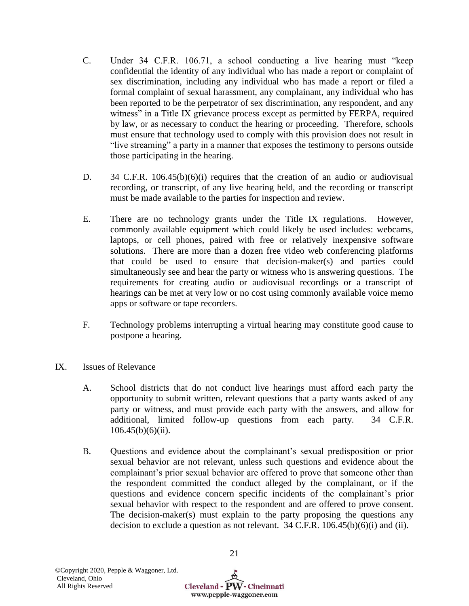- C. Under 34 C.F.R. 106.71, a school conducting a live hearing must "keep confidential the identity of any individual who has made a report or complaint of sex discrimination, including any individual who has made a report or filed a formal complaint of sexual harassment, any complainant, any individual who has been reported to be the perpetrator of sex discrimination, any respondent, and any witness" in a Title IX grievance process except as permitted by FERPA, required by law, or as necessary to conduct the hearing or proceeding. Therefore, schools must ensure that technology used to comply with this provision does not result in "live streaming" a party in a manner that exposes the testimony to persons outside those participating in the hearing.
- D. 34 C.F.R. 106.45(b)(6)(i) requires that the creation of an audio or audiovisual recording, or transcript, of any live hearing held, and the recording or transcript must be made available to the parties for inspection and review.
- E. There are no technology grants under the Title IX regulations. However, commonly available equipment which could likely be used includes: webcams, laptops, or cell phones, paired with free or relatively inexpensive software solutions. There are more than a dozen free video web conferencing platforms that could be used to ensure that decision-maker(s) and parties could simultaneously see and hear the party or witness who is answering questions. The requirements for creating audio or audiovisual recordings or a transcript of hearings can be met at very low or no cost using commonly available voice memo apps or software or tape recorders.
- F. Technology problems interrupting a virtual hearing may constitute good cause to postpone a hearing.

# IX. Issues of Relevance

- A. School districts that do not conduct live hearings must afford each party the opportunity to submit written, relevant questions that a party wants asked of any party or witness, and must provide each party with the answers, and allow for additional, limited follow-up questions from each party. 34 C.F.R.  $106.45(b)(6)(ii)$ .
- B. Questions and evidence about the complainant's sexual predisposition or prior sexual behavior are not relevant, unless such questions and evidence about the complainant's prior sexual behavior are offered to prove that someone other than the respondent committed the conduct alleged by the complainant, or if the questions and evidence concern specific incidents of the complainant's prior sexual behavior with respect to the respondent and are offered to prove consent. The decision-maker(s) must explain to the party proposing the questions any decision to exclude a question as not relevant. 34 C.F.R. 106.45(b)(6)(i) and (ii).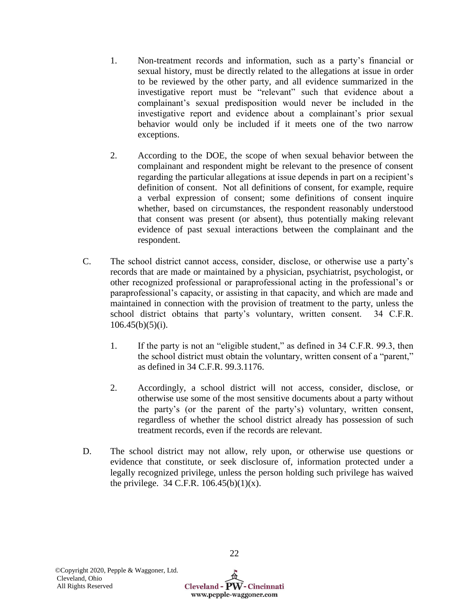- 1. Non-treatment records and information, such as a party's financial or sexual history, must be directly related to the allegations at issue in order to be reviewed by the other party, and all evidence summarized in the investigative report must be "relevant" such that evidence about a complainant's sexual predisposition would never be included in the investigative report and evidence about a complainant's prior sexual behavior would only be included if it meets one of the two narrow exceptions.
- 2. According to the DOE, the scope of when sexual behavior between the complainant and respondent might be relevant to the presence of consent regarding the particular allegations at issue depends in part on a recipient's definition of consent. Not all definitions of consent, for example, require a verbal expression of consent; some definitions of consent inquire whether, based on circumstances, the respondent reasonably understood that consent was present (or absent), thus potentially making relevant evidence of past sexual interactions between the complainant and the respondent.
- C. The school district cannot access, consider, disclose, or otherwise use a party's records that are made or maintained by a physician, psychiatrist, psychologist, or other recognized professional or paraprofessional acting in the professional's or paraprofessional's capacity, or assisting in that capacity, and which are made and maintained in connection with the provision of treatment to the party, unless the school district obtains that party's voluntary, written consent. 34 C.F.R.  $106.45(b)(5)(i)$ .
	- 1. If the party is not an "eligible student," as defined in 34 C.F.R. 99.3, then the school district must obtain the voluntary, written consent of a "parent," as defined in 34 C.F.R. 99.3.1176.
	- 2. Accordingly, a school district will not access, consider, disclose, or otherwise use some of the most sensitive documents about a party without the party's (or the parent of the party's) voluntary, written consent, regardless of whether the school district already has possession of such treatment records, even if the records are relevant.
- D. The school district may not allow, rely upon, or otherwise use questions or evidence that constitute, or seek disclosure of, information protected under a legally recognized privilege, unless the person holding such privilege has waived the privilege. 34 C.F.R.  $106.45(b)(1)(x)$ .

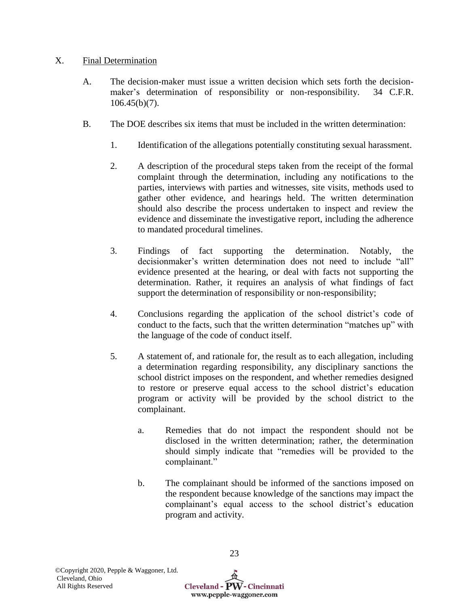# X. Final Determination

- A. The decision-maker must issue a written decision which sets forth the decisionmaker's determination of responsibility or non-responsibility. 34 C.F.R.  $106.45(b)(7)$ .
- B. The DOE describes six items that must be included in the written determination:
	- 1. Identification of the allegations potentially constituting sexual harassment.
	- 2. A description of the procedural steps taken from the receipt of the formal complaint through the determination, including any notifications to the parties, interviews with parties and witnesses, site visits, methods used to gather other evidence, and hearings held. The written determination should also describe the process undertaken to inspect and review the evidence and disseminate the investigative report, including the adherence to mandated procedural timelines.
	- 3. Findings of fact supporting the determination. Notably, the decisionmaker's written determination does not need to include "all" evidence presented at the hearing, or deal with facts not supporting the determination. Rather, it requires an analysis of what findings of fact support the determination of responsibility or non-responsibility;
	- 4. Conclusions regarding the application of the school district's code of conduct to the facts, such that the written determination "matches up" with the language of the code of conduct itself.
	- 5. A statement of, and rationale for, the result as to each allegation, including a determination regarding responsibility, any disciplinary sanctions the school district imposes on the respondent, and whether remedies designed to restore or preserve equal access to the school district's education program or activity will be provided by the school district to the complainant.
		- a. Remedies that do not impact the respondent should not be disclosed in the written determination; rather, the determination should simply indicate that "remedies will be provided to the complainant."
		- b. The complainant should be informed of the sanctions imposed on the respondent because knowledge of the sanctions may impact the complainant's equal access to the school district's education program and activity.

Cleveland -  $\widehat{PW}$  - Cincinnati www.pepple-waggoner.com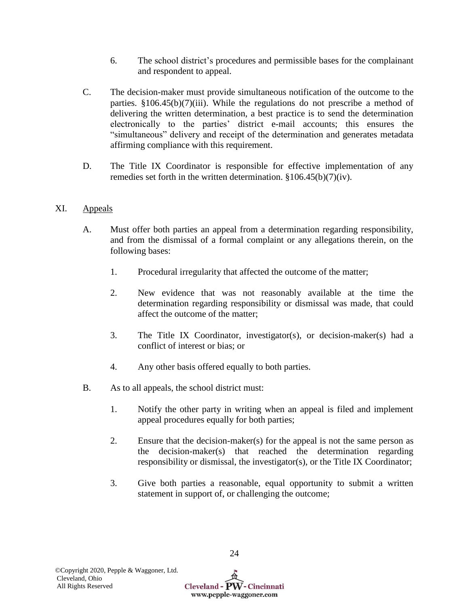- 6. The school district's procedures and permissible bases for the complainant and respondent to appeal.
- C. The decision-maker must provide simultaneous notification of the outcome to the parties.  $$106.45(b)(7)(iii)$ . While the regulations do not prescribe a method of delivering the written determination, a best practice is to send the determination electronically to the parties' district e-mail accounts; this ensures the "simultaneous" delivery and receipt of the determination and generates metadata affirming compliance with this requirement.
- D. The Title IX Coordinator is responsible for effective implementation of any remedies set forth in the written determination.  $$106.45(b)(7)(iv)$ .

# XI. Appeals

- A. Must offer both parties an appeal from a determination regarding responsibility, and from the dismissal of a formal complaint or any allegations therein, on the following bases:
	- 1. Procedural irregularity that affected the outcome of the matter;
	- 2. New evidence that was not reasonably available at the time the determination regarding responsibility or dismissal was made, that could affect the outcome of the matter;
	- 3. The Title IX Coordinator, investigator(s), or decision-maker(s) had a conflict of interest or bias; or
	- 4. Any other basis offered equally to both parties.
- B. As to all appeals, the school district must:
	- 1. Notify the other party in writing when an appeal is filed and implement appeal procedures equally for both parties;
	- 2. Ensure that the decision-maker(s) for the appeal is not the same person as the decision-maker(s) that reached the determination regarding responsibility or dismissal, the investigator(s), or the Title IX Coordinator;
	- 3. Give both parties a reasonable, equal opportunity to submit a written statement in support of, or challenging the outcome;

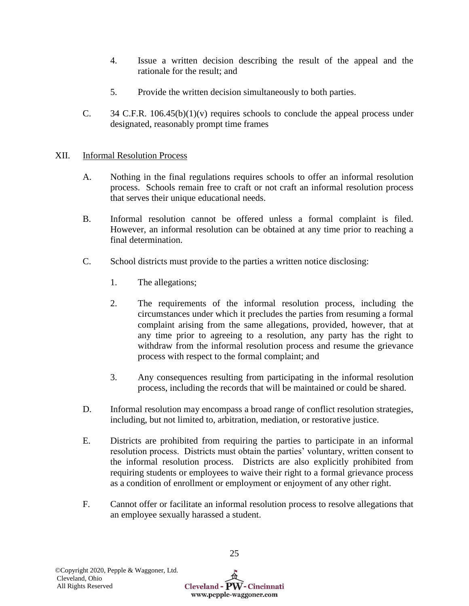- 4. Issue a written decision describing the result of the appeal and the rationale for the result; and
- 5. Provide the written decision simultaneously to both parties.
- C.  $34$  C.F.R. 106.45(b)(1)(v) requires schools to conclude the appeal process under designated, reasonably prompt time frames

# XII. Informal Resolution Process

- A. Nothing in the final regulations requires schools to offer an informal resolution process. Schools remain free to craft or not craft an informal resolution process that serves their unique educational needs.
- B. Informal resolution cannot be offered unless a formal complaint is filed. However, an informal resolution can be obtained at any time prior to reaching a final determination.
- C. School districts must provide to the parties a written notice disclosing:
	- 1. The allegations;
	- 2. The requirements of the informal resolution process, including the circumstances under which it precludes the parties from resuming a formal complaint arising from the same allegations, provided, however, that at any time prior to agreeing to a resolution, any party has the right to withdraw from the informal resolution process and resume the grievance process with respect to the formal complaint; and
	- 3. Any consequences resulting from participating in the informal resolution process, including the records that will be maintained or could be shared.
- D. Informal resolution may encompass a broad range of conflict resolution strategies, including, but not limited to, arbitration, mediation, or restorative justice.
- E. Districts are prohibited from requiring the parties to participate in an informal resolution process. Districts must obtain the parties' voluntary, written consent to the informal resolution process. Districts are also explicitly prohibited from requiring students or employees to waive their right to a formal grievance process as a condition of enrollment or employment or enjoyment of any other right.
- F. Cannot offer or facilitate an informal resolution process to resolve allegations that an employee sexually harassed a student.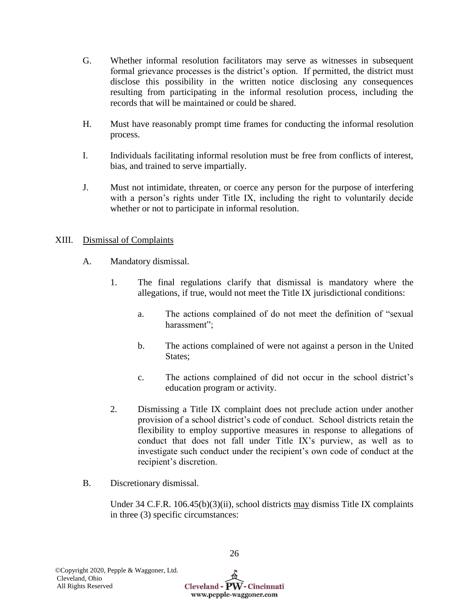- G. Whether informal resolution facilitators may serve as witnesses in subsequent formal grievance processes is the district's option. If permitted, the district must disclose this possibility in the written notice disclosing any consequences resulting from participating in the informal resolution process, including the records that will be maintained or could be shared.
- H. Must have reasonably prompt time frames for conducting the informal resolution process.
- I. Individuals facilitating informal resolution must be free from conflicts of interest, bias, and trained to serve impartially.
- J. Must not intimidate, threaten, or coerce any person for the purpose of interfering with a person's rights under Title IX, including the right to voluntarily decide whether or not to participate in informal resolution.

# XIII. Dismissal of Complaints

- A. Mandatory dismissal.
	- 1. The final regulations clarify that dismissal is mandatory where the allegations, if true, would not meet the Title IX jurisdictional conditions:
		- a. The actions complained of do not meet the definition of "sexual harassment";
		- b. The actions complained of were not against a person in the United States:
		- c. The actions complained of did not occur in the school district's education program or activity.
	- 2. Dismissing a Title IX complaint does not preclude action under another provision of a school district's code of conduct. School districts retain the flexibility to employ supportive measures in response to allegations of conduct that does not fall under Title IX's purview, as well as to investigate such conduct under the recipient's own code of conduct at the recipient's discretion.
- B. Discretionary dismissal.

Under 34 C.F.R. 106.45(b)(3)(ii), school districts may dismiss Title IX complaints in three (3) specific circumstances:

Cleveland - PW - Cincinnati www.pepple-waggoner.com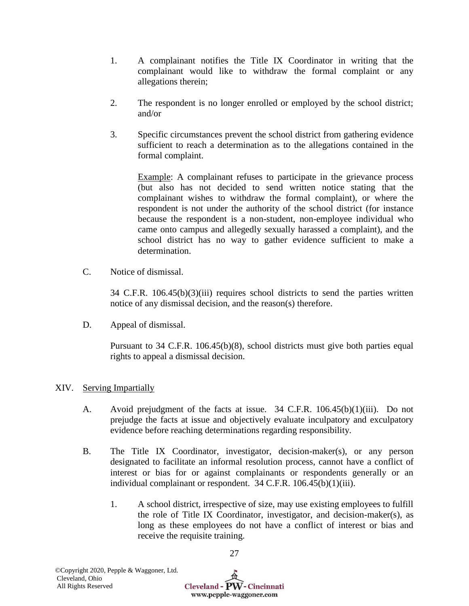- 1. A complainant notifies the Title IX Coordinator in writing that the complainant would like to withdraw the formal complaint or any allegations therein;
- 2. The respondent is no longer enrolled or employed by the school district; and/or
- 3. Specific circumstances prevent the school district from gathering evidence sufficient to reach a determination as to the allegations contained in the formal complaint.

Example: A complainant refuses to participate in the grievance process (but also has not decided to send written notice stating that the complainant wishes to withdraw the formal complaint), or where the respondent is not under the authority of the school district (for instance because the respondent is a non-student, non-employee individual who came onto campus and allegedly sexually harassed a complaint), and the school district has no way to gather evidence sufficient to make a determination.

C. Notice of dismissal.

 $34$  C.F.R.  $106.45(b)(3)(iii)$  requires school districts to send the parties written notice of any dismissal decision, and the reason(s) therefore.

D. Appeal of dismissal.

Pursuant to 34 C.F.R. 106.45(b)(8), school districts must give both parties equal rights to appeal a dismissal decision.

# XIV. Serving Impartially

- A. Avoid prejudgment of the facts at issue. 34 C.F.R. 106.45(b)(1)(iii). Do not prejudge the facts at issue and objectively evaluate inculpatory and exculpatory evidence before reaching determinations regarding responsibility.
- B. The Title IX Coordinator, investigator, decision-maker(s), or any person designated to facilitate an informal resolution process, cannot have a conflict of interest or bias for or against complainants or respondents generally or an individual complainant or respondent. 34 C.F.R. 106.45(b)(1)(iii).
	- 1. A school district, irrespective of size, may use existing employees to fulfill the role of Title IX Coordinator, investigator, and decision-maker(s), as long as these employees do not have a conflict of interest or bias and receive the requisite training.

Cleveland - PW - Cincinnati www.pepple-waggoner.com

27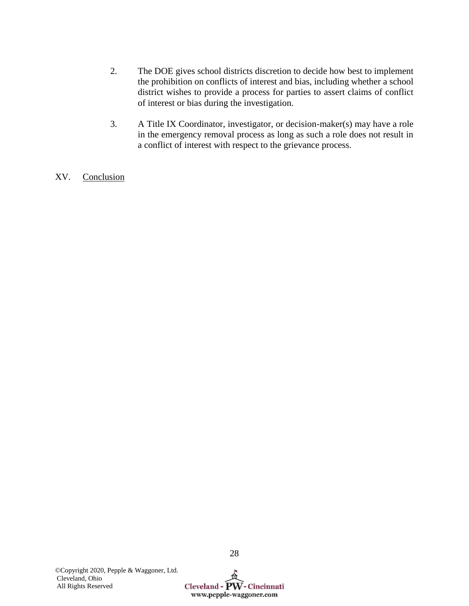- 2. The DOE gives school districts discretion to decide how best to implement the prohibition on conflicts of interest and bias, including whether a school district wishes to provide a process for parties to assert claims of conflict of interest or bias during the investigation.
- 3. A Title IX Coordinator, investigator, or decision-maker(s) may have a role in the emergency removal process as long as such a role does not result in a conflict of interest with respect to the grievance process.
- XV. Conclusion

28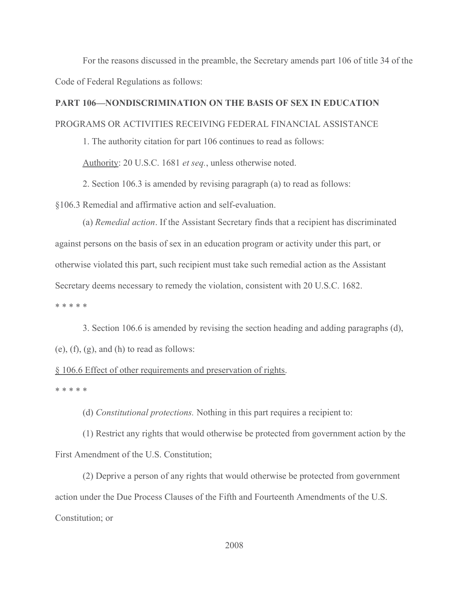For the reasons discussed in the preamble, the Secretary amends part 106 of title 34 of the Code of Federal Regulations as follows:

# PART 106—NONDISCRIMINATION ON THE BASIS OF SEX IN EDUCATION

# PROGRAMS OR ACTIVITIES RECEIVING FEDERAL FINANCIAL ASSISTANCE

1. The authority citation for part 106 continues to read as follows:

Authority: 20 U.S.C. 1681 *et seq.*, unless otherwise noted.

2. Section 106.3 is amended by revising paragraph (a) to read as follows:

§106.3 Remedial and affirmative action and self-evaluation.

(a) Remedial action. If the Assistant Secretary finds that a recipient has discriminated against persons on the basis of sex in an education program or activity under this part, or otherwise violated this part, such recipient must take such remedial action as the Assistant Secretary deems necessary to remedy the violation, consistent with 20 U.S.C. 1682. \* \* \* \* \*

 3. Section 106.6 is amended by revising the section heading and adding paragraphs (d),  $(e)$ ,  $(f)$ ,  $(g)$ , and  $(h)$  to read as follows:

# § 106.6 Effect of other requirements and preservation of rights.

\* \* \* \* \*

(d) Constitutional protections. Nothing in this part requires a recipient to:

(1) Restrict any rights that would otherwise be protected from government action by the First Amendment of the U.S. Constitution;

(2) Deprive a person of any rights that would otherwise be protected from government action under the Due Process Clauses of the Fifth and Fourteenth Amendments of the U.S. Constitution; or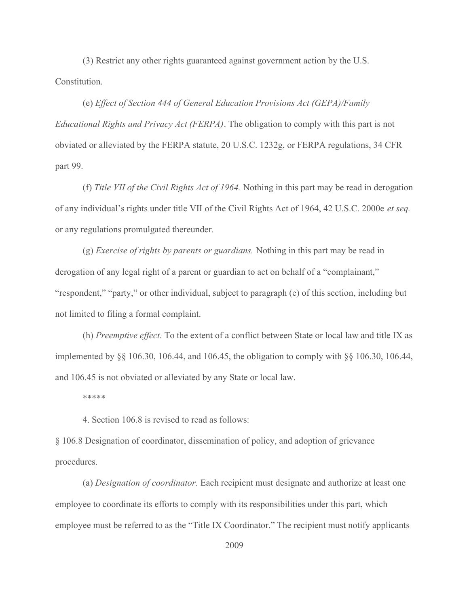(3) Restrict any other rights guaranteed against government action by the U.S. Constitution.

(e) Effect of Section 444 of General Education Provisions Act (GEPA)/Family Educational Rights and Privacy Act (FERPA). The obligation to comply with this part is not obviated or alleviated by the FERPA statute, 20 U.S.C. 1232g, or FERPA regulations, 34 CFR part 99.

(f) Title VII of the Civil Rights Act of 1964. Nothing in this part may be read in derogation of any individual's rights under title VII of the Civil Rights Act of 1964, 42 U.S.C. 2000e et seq. or any regulations promulgated thereunder.

(g) Exercise of rights by parents or guardians. Nothing in this part may be read in derogation of any legal right of a parent or guardian to act on behalf of a "complainant," "respondent," "party," or other individual, subject to paragraph (e) of this section, including but not limited to filing a formal complaint.

(h) Preemptive effect. To the extent of a conflict between State or local law and title IX as implemented by §§ 106.30, 106.44, and 106.45, the obligation to comply with §§ 106.30, 106.44, and 106.45 is not obviated or alleviated by any State or local law.

\*\*\*\*\*

4. Section 106.8 is revised to read as follows:

§ 106.8 Designation of coordinator, dissemination of policy, and adoption of grievance procedures.

(a) Designation of coordinator. Each recipient must designate and authorize at least one employee to coordinate its efforts to comply with its responsibilities under this part, which employee must be referred to as the "Title IX Coordinator." The recipient must notify applicants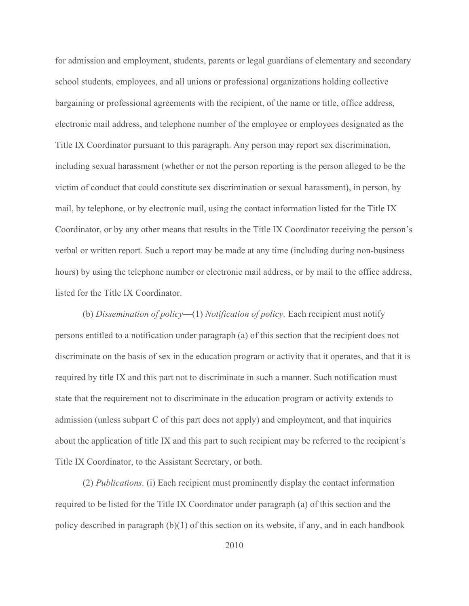for admission and employment, students, parents or legal guardians of elementary and secondary school students, employees, and all unions or professional organizations holding collective bargaining or professional agreements with the recipient, of the name or title, office address, electronic mail address, and telephone number of the employee or employees designated as the Title IX Coordinator pursuant to this paragraph. Any person may report sex discrimination, including sexual harassment (whether or not the person reporting is the person alleged to be the victim of conduct that could constitute sex discrimination or sexual harassment), in person, by mail, by telephone, or by electronic mail, using the contact information listed for the Title IX Coordinator, or by any other means that results in the Title IX Coordinator receiving the person's verbal or written report. Such a report may be made at any time (including during non-business hours) by using the telephone number or electronic mail address, or by mail to the office address, listed for the Title IX Coordinator.

(b) Dissemination of policy—(1) Notification of policy. Each recipient must notify persons entitled to a notification under paragraph (a) of this section that the recipient does not discriminate on the basis of sex in the education program or activity that it operates, and that it is required by title IX and this part not to discriminate in such a manner. Such notification must state that the requirement not to discriminate in the education program or activity extends to admission (unless subpart C of this part does not apply) and employment, and that inquiries about the application of title IX and this part to such recipient may be referred to the recipient's Title IX Coordinator, to the Assistant Secretary, or both.

(2) Publications. (i) Each recipient must prominently display the contact information required to be listed for the Title IX Coordinator under paragraph (a) of this section and the policy described in paragraph (b)(1) of this section on its website, if any, and in each handbook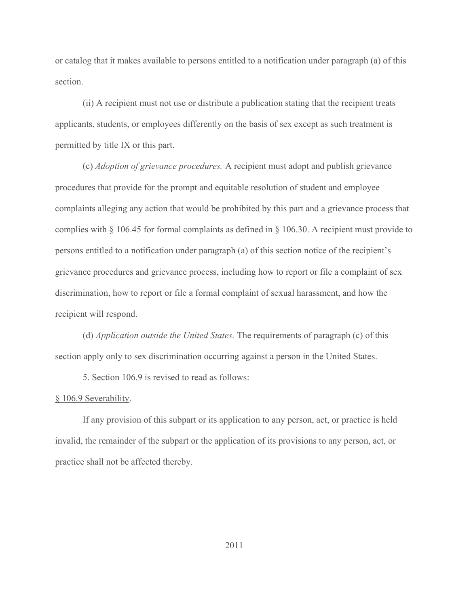or catalog that it makes available to persons entitled to a notification under paragraph (a) of this section.

(ii) A recipient must not use or distribute a publication stating that the recipient treats applicants, students, or employees differently on the basis of sex except as such treatment is permitted by title IX or this part.

(c) Adoption of grievance procedures. A recipient must adopt and publish grievance procedures that provide for the prompt and equitable resolution of student and employee complaints alleging any action that would be prohibited by this part and a grievance process that complies with § 106.45 for formal complaints as defined in § 106.30. A recipient must provide to persons entitled to a notification under paragraph (a) of this section notice of the recipient's grievance procedures and grievance process, including how to report or file a complaint of sex discrimination, how to report or file a formal complaint of sexual harassment, and how the recipient will respond.

(d) Application outside the United States. The requirements of paragraph (c) of this section apply only to sex discrimination occurring against a person in the United States.

5. Section 106.9 is revised to read as follows:

## § 106.9 Severability.

If any provision of this subpart or its application to any person, act, or practice is held invalid, the remainder of the subpart or the application of its provisions to any person, act, or practice shall not be affected thereby.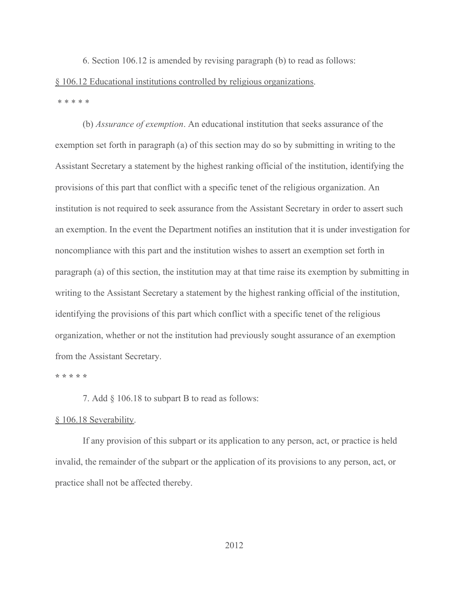6. Section 106.12 is amended by revising paragraph (b) to read as follows: § 106.12 Educational institutions controlled by religious organizations. \* \* \* \* \*

(b) Assurance of exemption. An educational institution that seeks assurance of the exemption set forth in paragraph (a) of this section may do so by submitting in writing to the Assistant Secretary a statement by the highest ranking official of the institution, identifying the provisions of this part that conflict with a specific tenet of the religious organization. An institution is not required to seek assurance from the Assistant Secretary in order to assert such an exemption. In the event the Department notifies an institution that it is under investigation for noncompliance with this part and the institution wishes to assert an exemption set forth in paragraph (a) of this section, the institution may at that time raise its exemption by submitting in writing to the Assistant Secretary a statement by the highest ranking official of the institution, identifying the provisions of this part which conflict with a specific tenet of the religious organization, whether or not the institution had previously sought assurance of an exemption from the Assistant Secretary.

#### \* \* \* \* \*

7. Add § 106.18 to subpart B to read as follows:

#### § 106.18 Severability.

 If any provision of this subpart or its application to any person, act, or practice is held invalid, the remainder of the subpart or the application of its provisions to any person, act, or practice shall not be affected thereby.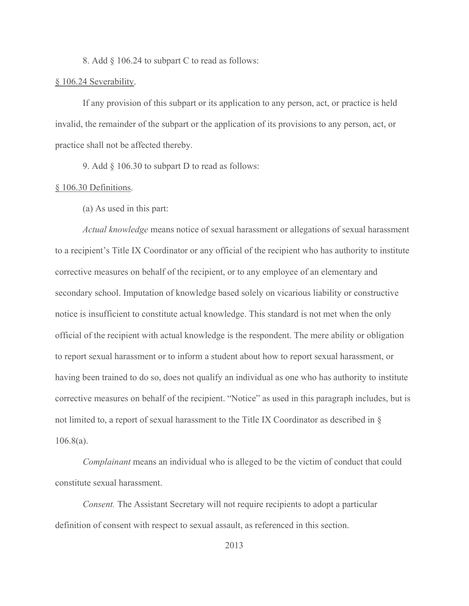8. Add § 106.24 to subpart C to read as follows:

## § 106.24 Severability.

If any provision of this subpart or its application to any person, act, or practice is held invalid, the remainder of the subpart or the application of its provisions to any person, act, or practice shall not be affected thereby.

9. Add § 106.30 to subpart D to read as follows:

## § 106.30 Definitions.

(a) As used in this part:

Actual knowledge means notice of sexual harassment or allegations of sexual harassment to a recipient's Title IX Coordinator or any official of the recipient who has authority to institute corrective measures on behalf of the recipient, or to any employee of an elementary and secondary school. Imputation of knowledge based solely on vicarious liability or constructive notice is insufficient to constitute actual knowledge. This standard is not met when the only official of the recipient with actual knowledge is the respondent. The mere ability or obligation to report sexual harassment or to inform a student about how to report sexual harassment, or having been trained to do so, does not qualify an individual as one who has authority to institute corrective measures on behalf of the recipient. "Notice" as used in this paragraph includes, but is not limited to, a report of sexual harassment to the Title IX Coordinator as described in § 106.8(a).

Complainant means an individual who is alleged to be the victim of conduct that could constitute sexual harassment.

Consent. The Assistant Secretary will not require recipients to adopt a particular definition of consent with respect to sexual assault, as referenced in this section.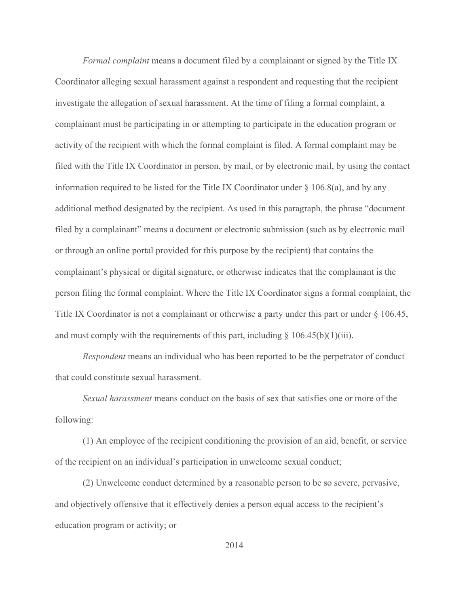Formal complaint means a document filed by a complainant or signed by the Title IX Coordinator alleging sexual harassment against a respondent and requesting that the recipient investigate the allegation of sexual harassment. At the time of filing a formal complaint, a complainant must be participating in or attempting to participate in the education program or activity of the recipient with which the formal complaint is filed. A formal complaint may be filed with the Title IX Coordinator in person, by mail, or by electronic mail, by using the contact information required to be listed for the Title IX Coordinator under  $\S$  106.8(a), and by any additional method designated by the recipient. As used in this paragraph, the phrase "document filed by a complainant" means a document or electronic submission (such as by electronic mail or through an online portal provided for this purpose by the recipient) that contains the complainant's physical or digital signature, or otherwise indicates that the complainant is the person filing the formal complaint. Where the Title IX Coordinator signs a formal complaint, the Title IX Coordinator is not a complainant or otherwise a party under this part or under § 106.45, and must comply with the requirements of this part, including  $\S$  106.45(b)(1)(iii).

Respondent means an individual who has been reported to be the perpetrator of conduct that could constitute sexual harassment.

Sexual harassment means conduct on the basis of sex that satisfies one or more of the following:

(1) An employee of the recipient conditioning the provision of an aid, benefit, or service of the recipient on an individual's participation in unwelcome sexual conduct;

(2) Unwelcome conduct determined by a reasonable person to be so severe, pervasive, and objectively offensive that it effectively denies a person equal access to the recipient's education program or activity; or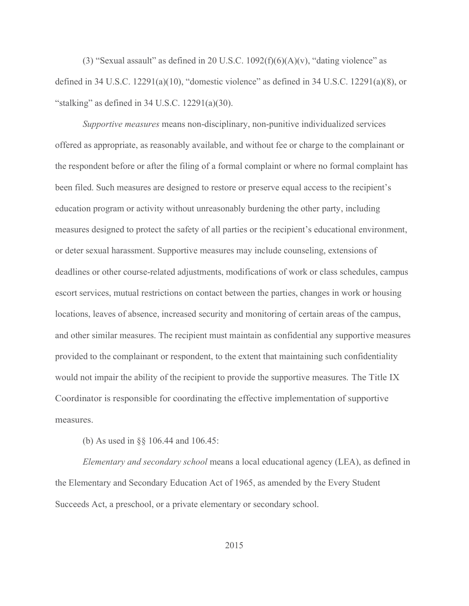(3) "Sexual assault" as defined in 20 U.S.C.  $1092(f)(6)(A)(v)$ , "dating violence" as defined in 34 U.S.C.  $12291(a)(10)$ , "domestic violence" as defined in 34 U.S.C.  $12291(a)(8)$ , or "stalking" as defined in  $34$  U.S.C.  $12291(a)(30)$ .

Supportive measures means non-disciplinary, non-punitive individualized services offered as appropriate, as reasonably available, and without fee or charge to the complainant or the respondent before or after the filing of a formal complaint or where no formal complaint has been filed. Such measures are designed to restore or preserve equal access to the recipient's education program or activity without unreasonably burdening the other party, including measures designed to protect the safety of all parties or the recipient's educational environment, or deter sexual harassment. Supportive measures may include counseling, extensions of deadlines or other course-related adjustments, modifications of work or class schedules, campus escort services, mutual restrictions on contact between the parties, changes in work or housing locations, leaves of absence, increased security and monitoring of certain areas of the campus, and other similar measures. The recipient must maintain as confidential any supportive measures provided to the complainant or respondent, to the extent that maintaining such confidentiality would not impair the ability of the recipient to provide the supportive measures. The Title IX Coordinator is responsible for coordinating the effective implementation of supportive measures.

(b) As used in §§ 106.44 and 106.45:

Elementary and secondary school means a local educational agency (LEA), as defined in the Elementary and Secondary Education Act of 1965, as amended by the Every Student Succeeds Act, a preschool, or a private elementary or secondary school.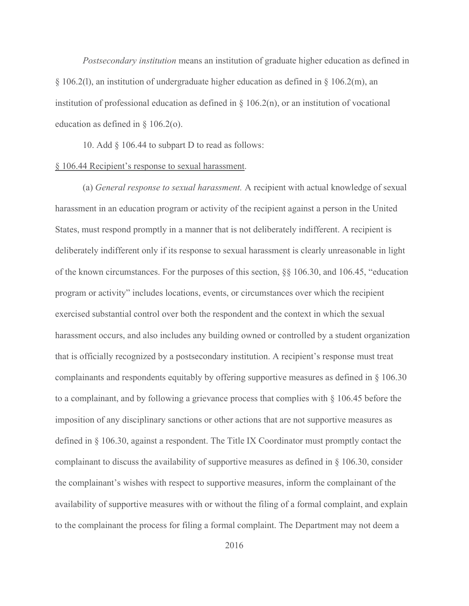Postsecondary institution means an institution of graduate higher education as defined in  $\S 106.2(1)$ , an institution of undergraduate higher education as defined in  $\S 106.2(m)$ , an institution of professional education as defined in  $\S$  106.2(n), or an institution of vocational education as defined in § 106.2(o).

10. Add  $\S$  106.44 to subpart D to read as follows:

## § 106.44 Recipient's response to sexual harassment.

(a) General response to sexual harassment. A recipient with actual knowledge of sexual harassment in an education program or activity of the recipient against a person in the United States, must respond promptly in a manner that is not deliberately indifferent. A recipient is deliberately indifferent only if its response to sexual harassment is clearly unreasonable in light of the known circumstances. For the purposes of this section, §§ 106.30, and 106.45, "education program or activity" includes locations, events, or circumstances over which the recipient exercised substantial control over both the respondent and the context in which the sexual harassment occurs, and also includes any building owned or controlled by a student organization that is officially recognized by a postsecondary institution. A recipient's response must treat complainants and respondents equitably by offering supportive measures as defined in § 106.30 to a complainant, and by following a grievance process that complies with § 106.45 before the imposition of any disciplinary sanctions or other actions that are not supportive measures as defined in § 106.30, against a respondent. The Title IX Coordinator must promptly contact the complainant to discuss the availability of supportive measures as defined in § 106.30, consider the complainant's wishes with respect to supportive measures, inform the complainant of the availability of supportive measures with or without the filing of a formal complaint, and explain to the complainant the process for filing a formal complaint. The Department may not deem a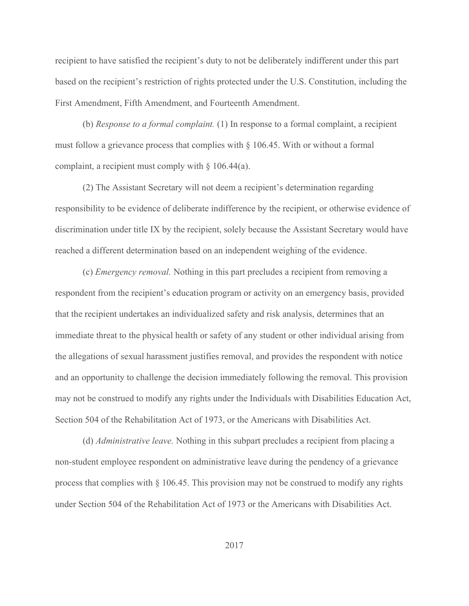recipient to have satisfied the recipient's duty to not be deliberately indifferent under this part based on the recipient's restriction of rights protected under the U.S. Constitution, including the First Amendment, Fifth Amendment, and Fourteenth Amendment.

(b) Response to a formal complaint. (1) In response to a formal complaint, a recipient must follow a grievance process that complies with  $\S$  106.45. With or without a formal complaint, a recipient must comply with § 106.44(a).

 (2) The Assistant Secretary will not deem a recipient's determination regarding responsibility to be evidence of deliberate indifference by the recipient, or otherwise evidence of discrimination under title IX by the recipient, solely because the Assistant Secretary would have reached a different determination based on an independent weighing of the evidence.

(c) Emergency removal. Nothing in this part precludes a recipient from removing a respondent from the recipient's education program or activity on an emergency basis, provided that the recipient undertakes an individualized safety and risk analysis, determines that an immediate threat to the physical health or safety of any student or other individual arising from the allegations of sexual harassment justifies removal, and provides the respondent with notice and an opportunity to challenge the decision immediately following the removal. This provision may not be construed to modify any rights under the Individuals with Disabilities Education Act, Section 504 of the Rehabilitation Act of 1973, or the Americans with Disabilities Act.

(d) Administrative leave. Nothing in this subpart precludes a recipient from placing a non-student employee respondent on administrative leave during the pendency of a grievance process that complies with § 106.45. This provision may not be construed to modify any rights under Section 504 of the Rehabilitation Act of 1973 or the Americans with Disabilities Act.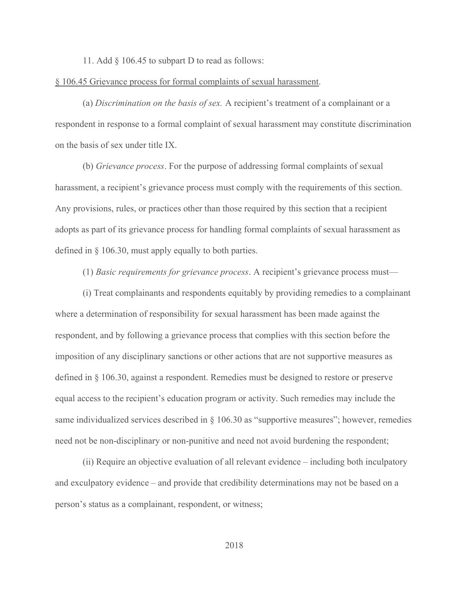11. Add § 106.45 to subpart D to read as follows:

## § 106.45 Grievance process for formal complaints of sexual harassment.

(a) Discrimination on the basis of sex. A recipient's treatment of a complainant or a respondent in response to a formal complaint of sexual harassment may constitute discrimination on the basis of sex under title IX.

(b) Grievance process. For the purpose of addressing formal complaints of sexual harassment, a recipient's grievance process must comply with the requirements of this section. Any provisions, rules, or practices other than those required by this section that a recipient adopts as part of its grievance process for handling formal complaints of sexual harassment as defined in § 106.30, must apply equally to both parties.

(1) Basic requirements for grievance process. A recipient's grievance process must—

(i) Treat complainants and respondents equitably by providing remedies to a complainant where a determination of responsibility for sexual harassment has been made against the respondent, and by following a grievance process that complies with this section before the imposition of any disciplinary sanctions or other actions that are not supportive measures as defined in § 106.30, against a respondent. Remedies must be designed to restore or preserve equal access to the recipient's education program or activity. Such remedies may include the same individualized services described in § 106.30 as "supportive measures"; however, remedies need not be non-disciplinary or non-punitive and need not avoid burdening the respondent;

(ii) Require an objective evaluation of all relevant evidence – including both inculpatory and exculpatory evidence – and provide that credibility determinations may not be based on a person's status as a complainant, respondent, or witness;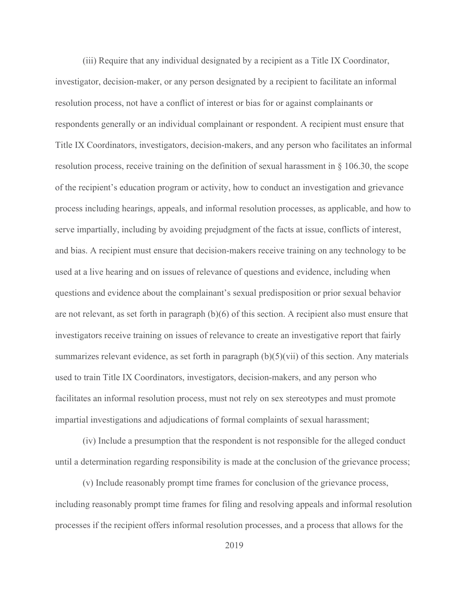(iii) Require that any individual designated by a recipient as a Title IX Coordinator, investigator, decision-maker, or any person designated by a recipient to facilitate an informal resolution process, not have a conflict of interest or bias for or against complainants or respondents generally or an individual complainant or respondent. A recipient must ensure that Title IX Coordinators, investigators, decision-makers, and any person who facilitates an informal resolution process, receive training on the definition of sexual harassment in § 106.30, the scope of the recipient's education program or activity, how to conduct an investigation and grievance process including hearings, appeals, and informal resolution processes, as applicable, and how to serve impartially, including by avoiding prejudgment of the facts at issue, conflicts of interest, and bias. A recipient must ensure that decision-makers receive training on any technology to be used at a live hearing and on issues of relevance of questions and evidence, including when questions and evidence about the complainant's sexual predisposition or prior sexual behavior are not relevant, as set forth in paragraph (b)(6) of this section. A recipient also must ensure that investigators receive training on issues of relevance to create an investigative report that fairly summarizes relevant evidence, as set forth in paragraph  $(b)(5)(\n\tiii)$  of this section. Any materials used to train Title IX Coordinators, investigators, decision-makers, and any person who facilitates an informal resolution process, must not rely on sex stereotypes and must promote impartial investigations and adjudications of formal complaints of sexual harassment;

(iv) Include a presumption that the respondent is not responsible for the alleged conduct until a determination regarding responsibility is made at the conclusion of the grievance process;

(v) Include reasonably prompt time frames for conclusion of the grievance process, including reasonably prompt time frames for filing and resolving appeals and informal resolution processes if the recipient offers informal resolution processes, and a process that allows for the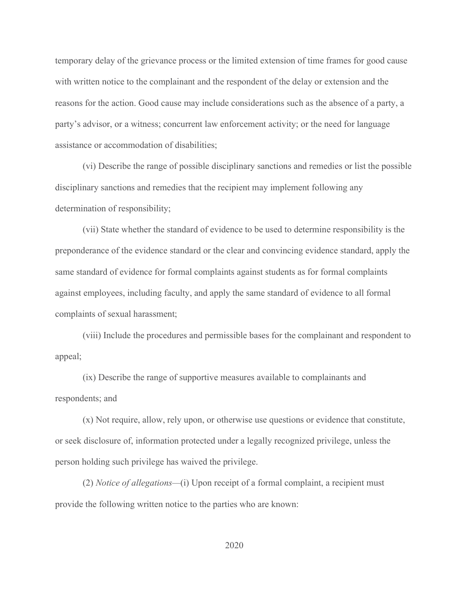temporary delay of the grievance process or the limited extension of time frames for good cause with written notice to the complainant and the respondent of the delay or extension and the reasons for the action. Good cause may include considerations such as the absence of a party, a party's advisor, or a witness; concurrent law enforcement activity; or the need for language assistance or accommodation of disabilities;

(vi) Describe the range of possible disciplinary sanctions and remedies or list the possible disciplinary sanctions and remedies that the recipient may implement following any determination of responsibility;

(vii) State whether the standard of evidence to be used to determine responsibility is the preponderance of the evidence standard or the clear and convincing evidence standard, apply the same standard of evidence for formal complaints against students as for formal complaints against employees, including faculty, and apply the same standard of evidence to all formal complaints of sexual harassment;

(viii) Include the procedures and permissible bases for the complainant and respondent to appeal;

(ix) Describe the range of supportive measures available to complainants and respondents; and

(x) Not require, allow, rely upon, or otherwise use questions or evidence that constitute, or seek disclosure of, information protected under a legally recognized privilege, unless the person holding such privilege has waived the privilege.

(2) Notice of allegations—(i) Upon receipt of a formal complaint, a recipient must provide the following written notice to the parties who are known: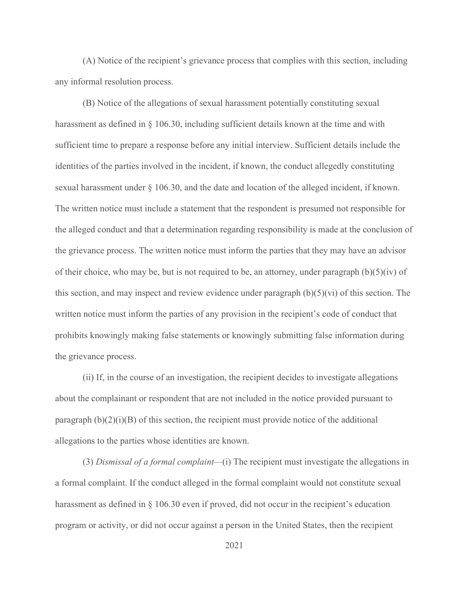(A) Notice of the recipient's grievance process that complies with this section, including any informal resolution process.

(B) Notice of the allegations of sexual harassment potentially constituting sexual harassment as defined in § 106.30, including sufficient details known at the time and with sufficient time to prepare a response before any initial interview. Sufficient details include the identities of the parties involved in the incident, if known, the conduct allegedly constituting sexual harassment under § 106.30, and the date and location of the alleged incident, if known. The written notice must include a statement that the respondent is presumed not responsible for the alleged conduct and that a determination regarding responsibility is made at the conclusion of the grievance process. The written notice must inform the parties that they may have an advisor of their choice, who may be, but is not required to be, an attorney, under paragraph  $(b)(5)(iv)$  of this section, and may inspect and review evidence under paragraph  $(b)(5)(vi)$  of this section. The written notice must inform the parties of any provision in the recipient's code of conduct that prohibits knowingly making false statements or knowingly submitting false information during the grievance process.

(ii) If, in the course of an investigation, the recipient decides to investigate allegations about the complainant or respondent that are not included in the notice provided pursuant to paragraph  $(b)(2)(i)(B)$  of this section, the recipient must provide notice of the additional allegations to the parties whose identities are known.

(3) Dismissal of a formal complaint—(i) The recipient must investigate the allegations in a formal complaint. If the conduct alleged in the formal complaint would not constitute sexual harassment as defined in § 106.30 even if proved, did not occur in the recipient's education program or activity, or did not occur against a person in the United States, then the recipient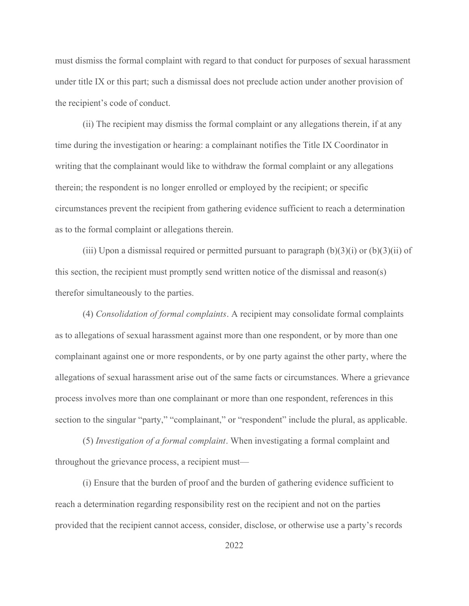must dismiss the formal complaint with regard to that conduct for purposes of sexual harassment under title IX or this part; such a dismissal does not preclude action under another provision of the recipient's code of conduct.

(ii) The recipient may dismiss the formal complaint or any allegations therein, if at any time during the investigation or hearing: a complainant notifies the Title IX Coordinator in writing that the complainant would like to withdraw the formal complaint or any allegations therein; the respondent is no longer enrolled or employed by the recipient; or specific circumstances prevent the recipient from gathering evidence sufficient to reach a determination as to the formal complaint or allegations therein.

(iii) Upon a dismissal required or permitted pursuant to paragraph  $(b)(3)(i)$  or  $(b)(3)(ii)$  of this section, the recipient must promptly send written notice of the dismissal and reason(s) therefor simultaneously to the parties.

(4) Consolidation of formal complaints. A recipient may consolidate formal complaints as to allegations of sexual harassment against more than one respondent, or by more than one complainant against one or more respondents, or by one party against the other party, where the allegations of sexual harassment arise out of the same facts or circumstances. Where a grievance process involves more than one complainant or more than one respondent, references in this section to the singular "party," "complainant," or "respondent" include the plural, as applicable.

(5) Investigation of a formal complaint. When investigating a formal complaint and throughout the grievance process, a recipient must—

(i) Ensure that the burden of proof and the burden of gathering evidence sufficient to reach a determination regarding responsibility rest on the recipient and not on the parties provided that the recipient cannot access, consider, disclose, or otherwise use a party's records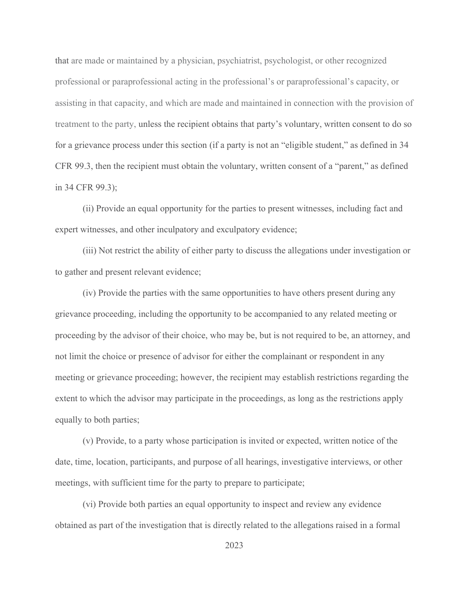that are made or maintained by a physician, psychiatrist, psychologist, or other recognized professional or paraprofessional acting in the professional's or paraprofessional's capacity, or assisting in that capacity, and which are made and maintained in connection with the provision of treatment to the party, unless the recipient obtains that party's voluntary, written consent to do so for a grievance process under this section (if a party is not an "eligible student," as defined in 34 CFR 99.3, then the recipient must obtain the voluntary, written consent of a "parent," as defined in 34 CFR 99.3);

(ii) Provide an equal opportunity for the parties to present witnesses, including fact and expert witnesses, and other inculpatory and exculpatory evidence;

(iii) Not restrict the ability of either party to discuss the allegations under investigation or to gather and present relevant evidence;

(iv) Provide the parties with the same opportunities to have others present during any grievance proceeding, including the opportunity to be accompanied to any related meeting or proceeding by the advisor of their choice, who may be, but is not required to be, an attorney, and not limit the choice or presence of advisor for either the complainant or respondent in any meeting or grievance proceeding; however, the recipient may establish restrictions regarding the extent to which the advisor may participate in the proceedings, as long as the restrictions apply equally to both parties;

(v) Provide, to a party whose participation is invited or expected, written notice of the date, time, location, participants, and purpose of all hearings, investigative interviews, or other meetings, with sufficient time for the party to prepare to participate;

(vi) Provide both parties an equal opportunity to inspect and review any evidence obtained as part of the investigation that is directly related to the allegations raised in a formal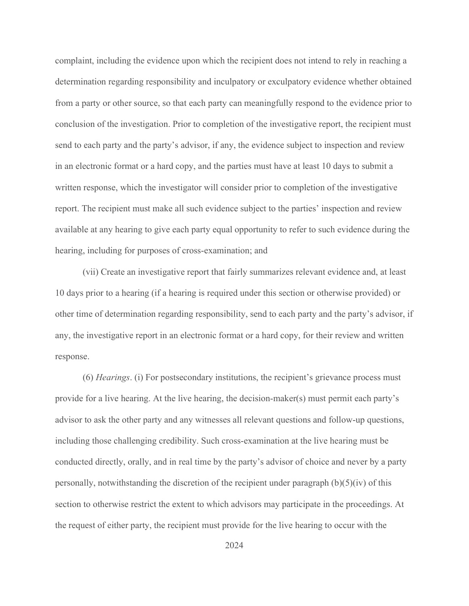complaint, including the evidence upon which the recipient does not intend to rely in reaching a determination regarding responsibility and inculpatory or exculpatory evidence whether obtained from a party or other source, so that each party can meaningfully respond to the evidence prior to conclusion of the investigation. Prior to completion of the investigative report, the recipient must send to each party and the party's advisor, if any, the evidence subject to inspection and review in an electronic format or a hard copy, and the parties must have at least 10 days to submit a written response, which the investigator will consider prior to completion of the investigative report. The recipient must make all such evidence subject to the parties' inspection and review available at any hearing to give each party equal opportunity to refer to such evidence during the hearing, including for purposes of cross-examination; and

(vii) Create an investigative report that fairly summarizes relevant evidence and, at least 10 days prior to a hearing (if a hearing is required under this section or otherwise provided) or other time of determination regarding responsibility, send to each party and the party's advisor, if any, the investigative report in an electronic format or a hard copy, for their review and written response.

(6) Hearings. (i) For postsecondary institutions, the recipient's grievance process must provide for a live hearing. At the live hearing, the decision-maker(s) must permit each party's advisor to ask the other party and any witnesses all relevant questions and follow-up questions, including those challenging credibility. Such cross-examination at the live hearing must be conducted directly, orally, and in real time by the party's advisor of choice and never by a party personally, notwithstanding the discretion of the recipient under paragraph  $(b)(5)(iv)$  of this section to otherwise restrict the extent to which advisors may participate in the proceedings. At the request of either party, the recipient must provide for the live hearing to occur with the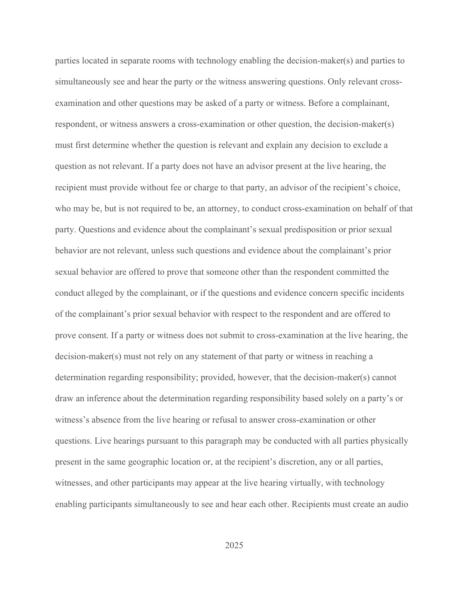parties located in separate rooms with technology enabling the decision-maker(s) and parties to simultaneously see and hear the party or the witness answering questions. Only relevant crossexamination and other questions may be asked of a party or witness. Before a complainant, respondent, or witness answers a cross-examination or other question, the decision-maker(s) must first determine whether the question is relevant and explain any decision to exclude a question as not relevant. If a party does not have an advisor present at the live hearing, the recipient must provide without fee or charge to that party, an advisor of the recipient's choice, who may be, but is not required to be, an attorney, to conduct cross-examination on behalf of that party. Questions and evidence about the complainant's sexual predisposition or prior sexual behavior are not relevant, unless such questions and evidence about the complainant's prior sexual behavior are offered to prove that someone other than the respondent committed the conduct alleged by the complainant, or if the questions and evidence concern specific incidents of the complainant's prior sexual behavior with respect to the respondent and are offered to prove consent. If a party or witness does not submit to cross-examination at the live hearing, the decision-maker(s) must not rely on any statement of that party or witness in reaching a determination regarding responsibility; provided, however, that the decision-maker(s) cannot draw an inference about the determination regarding responsibility based solely on a party's or witness's absence from the live hearing or refusal to answer cross-examination or other questions. Live hearings pursuant to this paragraph may be conducted with all parties physically present in the same geographic location or, at the recipient's discretion, any or all parties, witnesses, and other participants may appear at the live hearing virtually, with technology enabling participants simultaneously to see and hear each other. Recipients must create an audio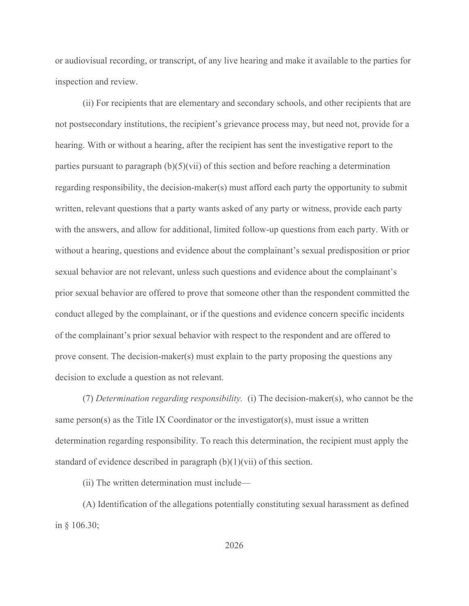or audiovisual recording, or transcript, of any live hearing and make it available to the parties for inspection and review.

(ii) For recipients that are elementary and secondary schools, and other recipients that are not postsecondary institutions, the recipient's grievance process may, but need not, provide for a hearing. With or without a hearing, after the recipient has sent the investigative report to the parties pursuant to paragraph  $(b)(5)(\n{\text{vii}})$  of this section and before reaching a determination regarding responsibility, the decision-maker(s) must afford each party the opportunity to submit written, relevant questions that a party wants asked of any party or witness, provide each party with the answers, and allow for additional, limited follow-up questions from each party. With or without a hearing, questions and evidence about the complainant's sexual predisposition or prior sexual behavior are not relevant, unless such questions and evidence about the complainant's prior sexual behavior are offered to prove that someone other than the respondent committed the conduct alleged by the complainant, or if the questions and evidence concern specific incidents of the complainant's prior sexual behavior with respect to the respondent and are offered to prove consent. The decision-maker(s) must explain to the party proposing the questions any decision to exclude a question as not relevant.

(7) Determination regarding responsibility. (i) The decision-maker(s), who cannot be the same person(s) as the Title IX Coordinator or the investigator(s), must issue a written determination regarding responsibility. To reach this determination, the recipient must apply the standard of evidence described in paragraph  $(b)(1)(\n{\text{vii}})$  of this section.

(ii) The written determination must include—

(A) Identification of the allegations potentially constituting sexual harassment as defined in § 106.30;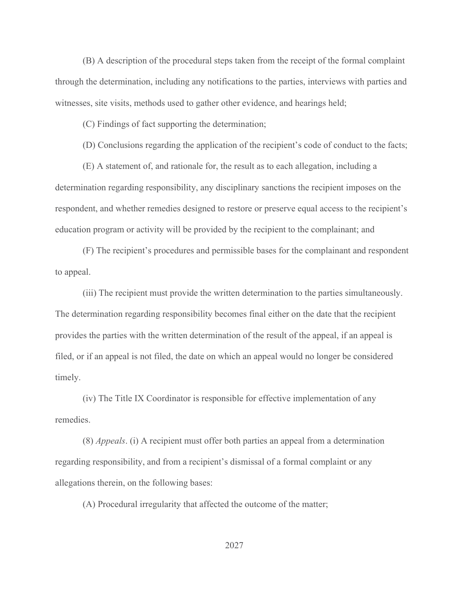(B) A description of the procedural steps taken from the receipt of the formal complaint through the determination, including any notifications to the parties, interviews with parties and witnesses, site visits, methods used to gather other evidence, and hearings held;

(C) Findings of fact supporting the determination;

(D) Conclusions regarding the application of the recipient's code of conduct to the facts;

(E) A statement of, and rationale for, the result as to each allegation, including a determination regarding responsibility, any disciplinary sanctions the recipient imposes on the respondent, and whether remedies designed to restore or preserve equal access to the recipient's education program or activity will be provided by the recipient to the complainant; and

(F) The recipient's procedures and permissible bases for the complainant and respondent to appeal.

(iii) The recipient must provide the written determination to the parties simultaneously. The determination regarding responsibility becomes final either on the date that the recipient provides the parties with the written determination of the result of the appeal, if an appeal is filed, or if an appeal is not filed, the date on which an appeal would no longer be considered timely.

(iv) The Title IX Coordinator is responsible for effective implementation of any remedies.

(8) Appeals. (i) A recipient must offer both parties an appeal from a determination regarding responsibility, and from a recipient's dismissal of a formal complaint or any allegations therein, on the following bases:

(A) Procedural irregularity that affected the outcome of the matter;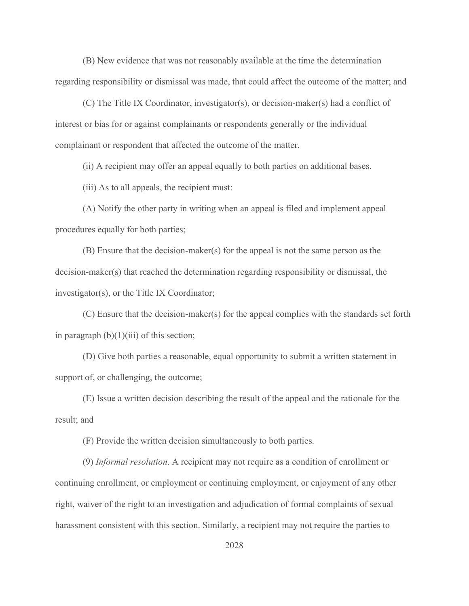(B) New evidence that was not reasonably available at the time the determination regarding responsibility or dismissal was made, that could affect the outcome of the matter; and

(C) The Title IX Coordinator, investigator(s), or decision-maker(s) had a conflict of interest or bias for or against complainants or respondents generally or the individual complainant or respondent that affected the outcome of the matter.

(ii) A recipient may offer an appeal equally to both parties on additional bases.

(iii) As to all appeals, the recipient must:

(A) Notify the other party in writing when an appeal is filed and implement appeal procedures equally for both parties;

(B) Ensure that the decision-maker(s) for the appeal is not the same person as the decision-maker(s) that reached the determination regarding responsibility or dismissal, the investigator(s), or the Title IX Coordinator;

(C) Ensure that the decision-maker(s) for the appeal complies with the standards set forth in paragraph  $(b)(1)(iii)$  of this section;

(D) Give both parties a reasonable, equal opportunity to submit a written statement in support of, or challenging, the outcome;

(E) Issue a written decision describing the result of the appeal and the rationale for the result; and

(F) Provide the written decision simultaneously to both parties.

(9) Informal resolution. A recipient may not require as a condition of enrollment or continuing enrollment, or employment or continuing employment, or enjoyment of any other right, waiver of the right to an investigation and adjudication of formal complaints of sexual harassment consistent with this section. Similarly, a recipient may not require the parties to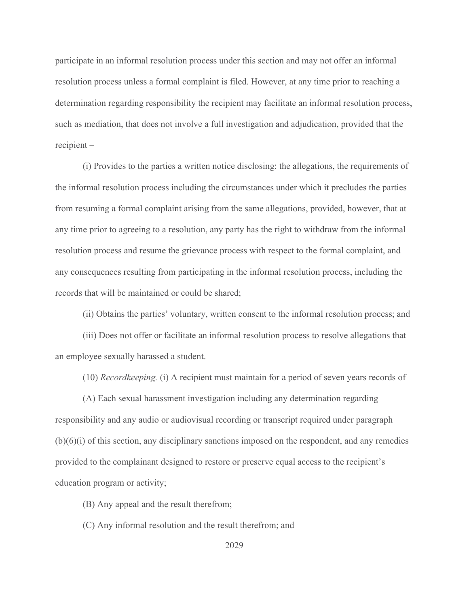participate in an informal resolution process under this section and may not offer an informal resolution process unless a formal complaint is filed. However, at any time prior to reaching a determination regarding responsibility the recipient may facilitate an informal resolution process, such as mediation, that does not involve a full investigation and adjudication, provided that the recipient –

(i) Provides to the parties a written notice disclosing: the allegations, the requirements of the informal resolution process including the circumstances under which it precludes the parties from resuming a formal complaint arising from the same allegations, provided, however, that at any time prior to agreeing to a resolution, any party has the right to withdraw from the informal resolution process and resume the grievance process with respect to the formal complaint, and any consequences resulting from participating in the informal resolution process, including the records that will be maintained or could be shared;

(ii) Obtains the parties' voluntary, written consent to the informal resolution process; and

(iii) Does not offer or facilitate an informal resolution process to resolve allegations that an employee sexually harassed a student.

 $(10)$  Recordkeeping. (i) A recipient must maintain for a period of seven years records of –

(A) Each sexual harassment investigation including any determination regarding responsibility and any audio or audiovisual recording or transcript required under paragraph  $(b)(6)(i)$  of this section, any disciplinary sanctions imposed on the respondent, and any remedies provided to the complainant designed to restore or preserve equal access to the recipient's education program or activity;

(B) Any appeal and the result therefrom;

(C) Any informal resolution and the result therefrom; and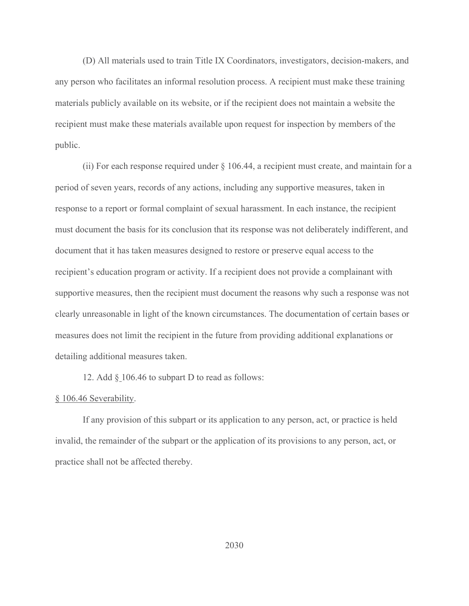(D) All materials used to train Title IX Coordinators, investigators, decision-makers, and any person who facilitates an informal resolution process. A recipient must make these training materials publicly available on its website, or if the recipient does not maintain a website the recipient must make these materials available upon request for inspection by members of the public.

(ii) For each response required under § 106.44, a recipient must create, and maintain for a period of seven years, records of any actions, including any supportive measures, taken in response to a report or formal complaint of sexual harassment. In each instance, the recipient must document the basis for its conclusion that its response was not deliberately indifferent, and document that it has taken measures designed to restore or preserve equal access to the recipient's education program or activity. If a recipient does not provide a complainant with supportive measures, then the recipient must document the reasons why such a response was not clearly unreasonable in light of the known circumstances. The documentation of certain bases or measures does not limit the recipient in the future from providing additional explanations or detailing additional measures taken.

12. Add § 106.46 to subpart D to read as follows:

## § 106.46 Severability.

If any provision of this subpart or its application to any person, act, or practice is held invalid, the remainder of the subpart or the application of its provisions to any person, act, or practice shall not be affected thereby.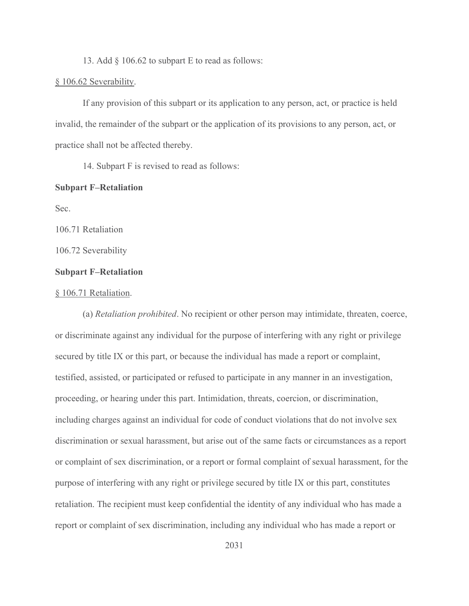13. Add § 106.62 to subpart E to read as follows:

## § 106.62 Severability.

If any provision of this subpart or its application to any person, act, or practice is held invalid, the remainder of the subpart or the application of its provisions to any person, act, or practice shall not be affected thereby.

14. Subpart F is revised to read as follows:

## Subpart F–Retaliation

Sec.

106.71 Retaliation

106.72 Severability

# Subpart F–Retaliation

#### § 106.71 Retaliation.

(a) Retaliation prohibited. No recipient or other person may intimidate, threaten, coerce, or discriminate against any individual for the purpose of interfering with any right or privilege secured by title IX or this part, or because the individual has made a report or complaint, testified, assisted, or participated or refused to participate in any manner in an investigation, proceeding, or hearing under this part. Intimidation, threats, coercion, or discrimination, including charges against an individual for code of conduct violations that do not involve sex discrimination or sexual harassment, but arise out of the same facts or circumstances as a report or complaint of sex discrimination, or a report or formal complaint of sexual harassment, for the purpose of interfering with any right or privilege secured by title IX or this part, constitutes retaliation. The recipient must keep confidential the identity of any individual who has made a report or complaint of sex discrimination, including any individual who has made a report or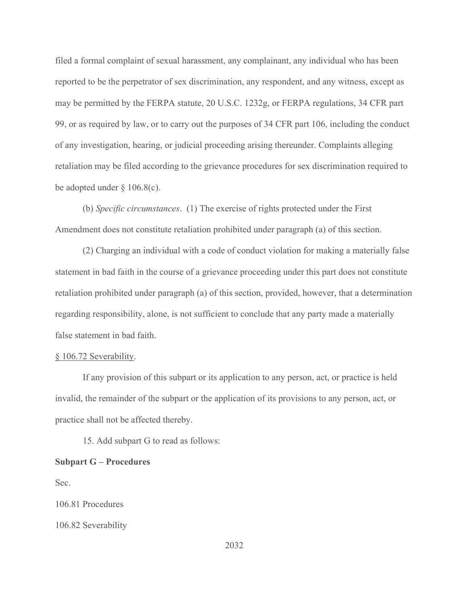filed a formal complaint of sexual harassment, any complainant, any individual who has been reported to be the perpetrator of sex discrimination, any respondent, and any witness, except as may be permitted by the FERPA statute, 20 U.S.C. 1232g, or FERPA regulations, 34 CFR part 99, or as required by law, or to carry out the purposes of 34 CFR part 106, including the conduct of any investigation, hearing, or judicial proceeding arising thereunder. Complaints alleging retaliation may be filed according to the grievance procedures for sex discrimination required to be adopted under § 106.8(c).

(b) Specific circumstances. (1) The exercise of rights protected under the First Amendment does not constitute retaliation prohibited under paragraph (a) of this section.

(2) Charging an individual with a code of conduct violation for making a materially false statement in bad faith in the course of a grievance proceeding under this part does not constitute retaliation prohibited under paragraph (a) of this section, provided, however, that a determination regarding responsibility, alone, is not sufficient to conclude that any party made a materially false statement in bad faith.

#### § 106.72 Severability.

If any provision of this subpart or its application to any person, act, or practice is held invalid, the remainder of the subpart or the application of its provisions to any person, act, or practice shall not be affected thereby.

15. Add subpart G to read as follows:

## Subpart G – Procedures

Sec.

106.81 Procedures

106.82 Severability